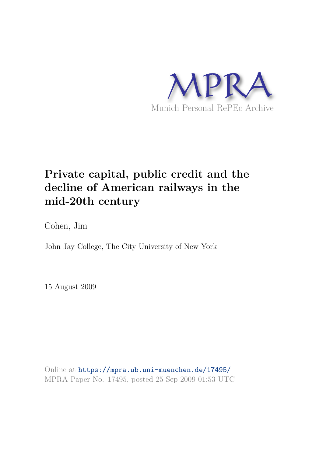

# **Private capital, public credit and the decline of American railways in the mid-20th century**

Cohen, Jim

John Jay College, The City University of New York

15 August 2009

Online at https://mpra.ub.uni-muenchen.de/17495/ MPRA Paper No. 17495, posted 25 Sep 2009 01:53 UTC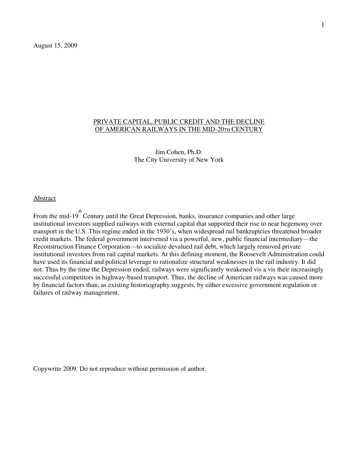August 15, 2009

## PRIVATE CAPITAL, PUBLIC CREDIT AND THE DECLINE OF AMERICAN RAILWAYS IN THE MID-20TH CENTURY

Jim Cohen, Ph.D. The City University of New York

## Abstract

From the mid-19<sup>th</sup> Century until the Great Depression, banks, insurance companies and other large institutional investors supplied railways with external capital that supported their rise to near hegemony over transport in the U.S. This regime ended in the 1930"s, when widespread rail bankruptcies threatened broader credit markets. The federal government intervened via a powerful, new, public financial intermediary—the Reconstruction Finance Corporation—to socialize devalued rail debt, which largely removed private institutional investors from rail capital markets. At this defining moment, the Roosevelt Administration could have used its financial and political leverage to rationalize structural weaknesses in the rail industry. It did not. Thus by the time the Depression ended, railways were significantly weakened vis a vis their increasingly successful competitors in highway-based transport. Thus, the decline of American railways was caused more by financial factors than, as existing historiography suggests, by either excessive government regulation or failures of railway management.

Copywrite 2009. Do not reproduce without permission of author.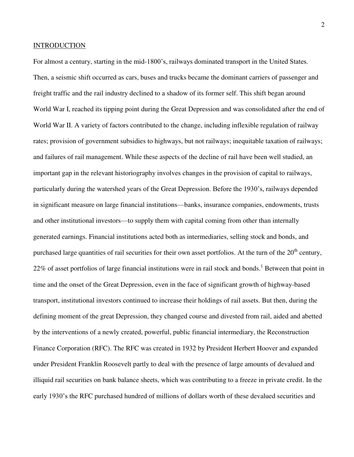## INTRODUCTION

For almost a century, starting in the mid-1800's, railways dominated transport in the United States. Then, a seismic shift occurred as cars, buses and trucks became the dominant carriers of passenger and freight traffic and the rail industry declined to a shadow of its former self. This shift began around World War I, reached its tipping point during the Great Depression and was consolidated after the end of World War II. A variety of factors contributed to the change, including inflexible regulation of railway rates; provision of government subsidies to highways, but not railways; inequitable taxation of railways; and failures of rail management. While these aspects of the decline of rail have been well studied, an important gap in the relevant historiography involves changes in the provision of capital to railways, particularly during the watershed years of the Great Depression. Before the 1930"s, railways depended in significant measure on large financial institutions—banks, insurance companies, endowments, trusts and other institutional investors—to supply them with capital coming from other than internally generated earnings. Financial institutions acted both as intermediaries, selling stock and bonds, and purchased large quantities of rail securities for their own asset portfolios. At the turn of the  $20<sup>th</sup>$  century, 22% of asset portfolios of large financial institutions were in rail stock and bonds.<sup>1</sup> Between that point in time and the onset of the Great Depression, even in the face of significant growth of highway-based transport, institutional investors continued to increase their holdings of rail assets. But then, during the defining moment of the great Depression, they changed course and divested from rail, aided and abetted by the interventions of a newly created, powerful, public financial intermediary, the Reconstruction Finance Corporation (RFC). The RFC was created in 1932 by President Herbert Hoover and expanded under President Franklin Roosevelt partly to deal with the presence of large amounts of devalued and illiquid rail securities on bank balance sheets, which was contributing to a freeze in private credit. In the early 1930"s the RFC purchased hundred of millions of dollars worth of these devalued securities and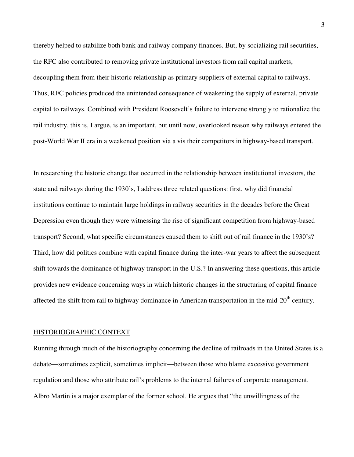thereby helped to stabilize both bank and railway company finances. But, by socializing rail securities, the RFC also contributed to removing private institutional investors from rail capital markets, decoupling them from their historic relationship as primary suppliers of external capital to railways. Thus, RFC policies produced the unintended consequence of weakening the supply of external, private capital to railways. Combined with President Roosevelt"s failure to intervene strongly to rationalize the rail industry, this is, I argue, is an important, but until now, overlooked reason why railways entered the post-World War II era in a weakened position via a vis their competitors in highway-based transport.

In researching the historic change that occurred in the relationship between institutional investors, the state and railways during the 1930"s, I address three related questions: first, why did financial institutions continue to maintain large holdings in railway securities in the decades before the Great Depression even though they were witnessing the rise of significant competition from highway-based transport? Second, what specific circumstances caused them to shift out of rail finance in the 1930"s? Third, how did politics combine with capital finance during the inter-war years to affect the subsequent shift towards the dominance of highway transport in the U.S.? In answering these questions, this article provides new evidence concerning ways in which historic changes in the structuring of capital finance affected the shift from rail to highway dominance in American transportation in the mid-20<sup>th</sup> century.

#### HISTORIOGRAPHIC CONTEXT

Running through much of the historiography concerning the decline of railroads in the United States is a debate—sometimes explicit, sometimes implicit—between those who blame excessive government regulation and those who attribute rail"s problems to the internal failures of corporate management. Albro Martin is a major exemplar of the former school. He argues that "the unwillingness of the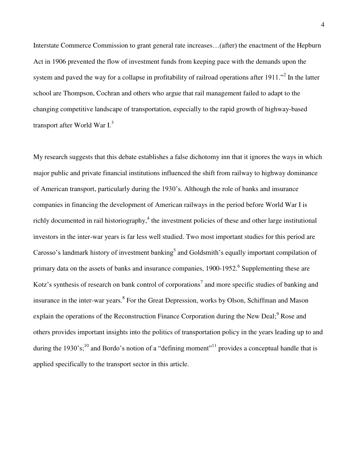Interstate Commerce Commission to grant general rate increases…(after) the enactment of the Hepburn Act in 1906 prevented the flow of investment funds from keeping pace with the demands upon the system and paved the way for a collapse in profitability of railroad operations after  $1911$ ."<sup>2</sup> In the latter school are Thompson, Cochran and others who argue that rail management failed to adapt to the changing competitive landscape of transportation, especially to the rapid growth of highway-based transport after World War I. $^3$ 

My research suggests that this debate establishes a false dichotomy inn that it ignores the ways in which major public and private financial institutions influenced the shift from railway to highway dominance of American transport, particularly during the 1930"s. Although the role of banks and insurance companies in financing the development of American railways in the period before World War I is richly documented in rail historiography, $4$  the investment policies of these and other large institutional investors in the inter-war years is far less well studied. Two most important studies for this period are Carosso's landmark history of investment banking<sup>5</sup> and Goldsmith's equally important compilation of primary data on the assets of banks and insurance companies, 1900-1952.<sup>6</sup> Supplementing these are Kotz's synthesis of research on bank control of corporations<sup>7</sup> and more specific studies of banking and insurance in the inter-war years.<sup>8</sup> For the Great Depression, works by Olson, Schiffman and Mason explain the operations of the Reconstruction Finance Corporation during the New Deal;<sup>9</sup> Rose and others provides important insights into the politics of transportation policy in the years leading up to and during the 1930's;<sup>10</sup> and Bordo's notion of a "defining moment"<sup>11</sup> provides a conceptual handle that is applied specifically to the transport sector in this article.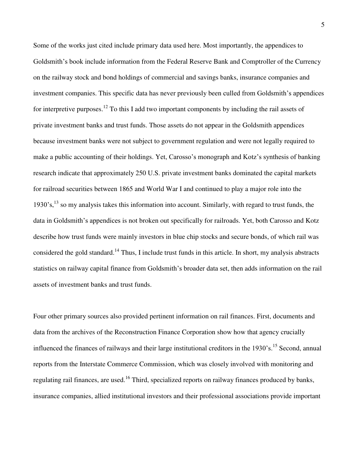Some of the works just cited include primary data used here. Most importantly, the appendices to Goldsmith"s book include information from the Federal Reserve Bank and Comptroller of the Currency on the railway stock and bond holdings of commercial and savings banks, insurance companies and investment companies. This specific data has never previously been culled from Goldsmith's appendices for interpretive purposes.<sup>12</sup> To this I add two important components by including the rail assets of private investment banks and trust funds. Those assets do not appear in the Goldsmith appendices because investment banks were not subject to government regulation and were not legally required to make a public accounting of their holdings. Yet, Carosso's monograph and Kotz's synthesis of banking research indicate that approximately 250 U.S. private investment banks dominated the capital markets for railroad securities between 1865 and World War I and continued to play a major role into the 1930's,<sup>13</sup> so my analysis takes this information into account. Similarly, with regard to trust funds, the data in Goldsmith's appendices is not broken out specifically for railroads. Yet, both Carosso and Kotz describe how trust funds were mainly investors in blue chip stocks and secure bonds, of which rail was considered the gold standard.<sup>14</sup> Thus, I include trust funds in this article. In short, my analysis abstracts statistics on railway capital finance from Goldsmith"s broader data set, then adds information on the rail assets of investment banks and trust funds.

Four other primary sources also provided pertinent information on rail finances. First, documents and data from the archives of the Reconstruction Finance Corporation show how that agency crucially influenced the finances of railways and their large institutional creditors in the 1930's.<sup>15</sup> Second, annual reports from the Interstate Commerce Commission, which was closely involved with monitoring and regulating rail finances, are used.<sup>16</sup> Third, specialized reports on railway finances produced by banks, insurance companies, allied institutional investors and their professional associations provide important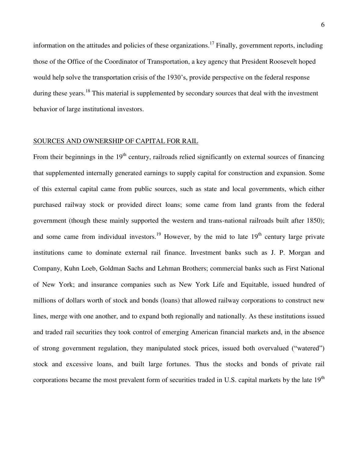information on the attitudes and policies of these organizations.<sup>17</sup> Finally, government reports, including those of the Office of the Coordinator of Transportation, a key agency that President Roosevelt hoped would help solve the transportation crisis of the 1930"s, provide perspective on the federal response during these years.<sup>18</sup> This material is supplemented by secondary sources that deal with the investment behavior of large institutional investors.

## SOURCES AND OWNERSHIP OF CAPITAL FOR RAIL

From their beginnings in the  $19<sup>th</sup>$  century, railroads relied significantly on external sources of financing that supplemented internally generated earnings to supply capital for construction and expansion. Some of this external capital came from public sources, such as state and local governments, which either purchased railway stock or provided direct loans; some came from land grants from the federal government (though these mainly supported the western and trans-national railroads built after 1850); and some came from individual investors.<sup>19</sup> However, by the mid to late  $19<sup>th</sup>$  century large private institutions came to dominate external rail finance. Investment banks such as J. P. Morgan and Company, Kuhn Loeb, Goldman Sachs and Lehman Brothers; commercial banks such as First National of New York; and insurance companies such as New York Life and Equitable, issued hundred of millions of dollars worth of stock and bonds (loans) that allowed railway corporations to construct new lines, merge with one another, and to expand both regionally and nationally. As these institutions issued and traded rail securities they took control of emerging American financial markets and, in the absence of strong government regulation, they manipulated stock prices, issued both overvalued ("watered") stock and excessive loans, and built large fortunes. Thus the stocks and bonds of private rail corporations became the most prevalent form of securities traded in U.S. capital markets by the late  $19<sup>th</sup>$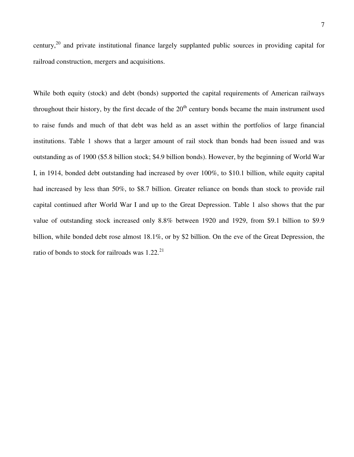century,<sup>20</sup> and private institutional finance largely supplanted public sources in providing capital for railroad construction, mergers and acquisitions.

While both equity (stock) and debt (bonds) supported the capital requirements of American railways throughout their history, by the first decade of the  $20<sup>th</sup>$  century bonds became the main instrument used to raise funds and much of that debt was held as an asset within the portfolios of large financial institutions. Table 1 shows that a larger amount of rail stock than bonds had been issued and was outstanding as of 1900 (\$5.8 billion stock; \$4.9 billion bonds). However, by the beginning of World War I, in 1914, bonded debt outstanding had increased by over 100%, to \$10.1 billion, while equity capital had increased by less than 50%, to \$8.7 billion. Greater reliance on bonds than stock to provide rail capital continued after World War I and up to the Great Depression. Table 1 also shows that the par value of outstanding stock increased only 8.8% between 1920 and 1929, from \$9.1 billion to \$9.9 billion, while bonded debt rose almost 18.1%, or by \$2 billion. On the eve of the Great Depression, the ratio of bonds to stock for railroads was  $1.22^{21}$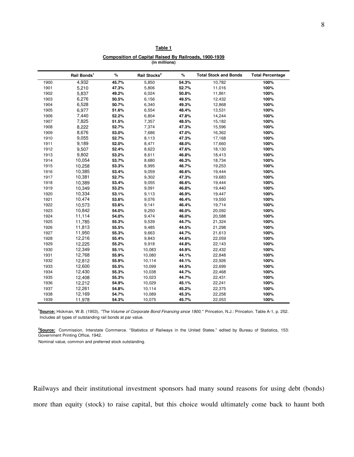#### **Table 1**

#### **Composition of Capital Raised By Railroads, 1900-1939 (in millions)**

|      | Rail Bonds <sup>1</sup> | $\%$  | Rail Stocks <sup>2</sup> | %     | <b>Total Stock and Bonds</b> | <b>Total Percentage</b> |
|------|-------------------------|-------|--------------------------|-------|------------------------------|-------------------------|
| 1900 | 4,932                   | 45.7% | 5,850                    | 54.3% | 10,782                       | 100%                    |
| 1901 | 5,210                   | 47.3% | 5,806                    | 52.7% | 11,016                       | 100%                    |
| 1902 | 5,837                   | 49.2% | 6,024                    | 50.8% | 11,861                       | 100%                    |
| 1903 | 6,276                   | 50.5% | 6,156                    | 49.5% | 12,432                       | 100%                    |
| 1904 | 6,528                   | 50.7% | 6,340                    | 49.3% | 12,868                       | 100%                    |
| 1905 | 6,977                   | 51.6% | 6,554                    | 48.4% | 13,531                       | 100%                    |
| 1906 | 7,440                   | 52.2% | 6,804                    | 47.8% | 14,244                       | 100%                    |
| 1907 | 7,825                   | 51.5% | 7,357                    | 48.5% | 15,182                       | 100%                    |
| 1908 | 8,222                   | 52.7% | 7,374                    | 47.3% | 15,596                       | 100%                    |
| 1909 | 8,676                   | 53.0% | 7,686                    | 47.0% | 16,362                       | 100%                    |
| 1910 | 9,055                   | 52.7% | 8,113                    | 47.3% | 17,168                       | 100%                    |
| 1911 | 9,189                   | 52.0% | 8,471                    | 48.0% | 17,660                       | 100%                    |
| 1912 | 9,507                   | 52.4% | 8,623                    | 47.6% | 18,130                       | 100%                    |
| 1913 | 9,802                   | 53.2% | 8,611                    | 46.8% | 18,413                       | 100%                    |
| 1914 | 10,054                  | 53.7% | 8,680                    | 46.3% | 18,734                       | 100%                    |
| 1915 | 10,258                  | 53.3% | 8,995                    | 46.7% | 19,253                       | 100%                    |
| 1916 | 10,385                  | 53.4% | 9,059                    | 46.6% | 19,444                       | 100%                    |
| 1917 | 10,381                  | 52.7% | 9,302                    | 47.3% | 19,683                       | 100%                    |
| 1918 | 10,389                  | 53.4% | 9,055                    | 46.6% | 19,444                       | 100%                    |
| 1919 | 10,349                  | 53.2% | 9,091                    | 46.8% | 19,440                       | 100%                    |
| 1920 | 10,334                  | 53.1% | 9,113                    | 46.9% | 19,447                       | 100%                    |
| 1921 | 10,474                  | 53.6% | 9,076                    | 46.4% | 19,550                       | 100%                    |
| 1922 | 10,573                  | 53.6% | 9,141                    | 46.4% | 19,714                       | 100%                    |
| 1923 | 10,842                  | 54.0% | 9,250                    | 46.0% | 20,092                       | 100%                    |
| 1924 | 11,114                  | 54.0% | 9,474                    | 46.0% | 20,588                       | 100%                    |
| 1925 | 11,785                  | 55.3% | 9,539                    | 44.7% | 21,324                       | 100%                    |
| 1926 | 11,813                  | 55.5% | 9,485                    | 44.5% | 21,298                       | 100%                    |
| 1927 | 11,950                  | 55.3% | 9,663                    | 44.7% | 21,613                       | 100%                    |
| 1928 | 12,216                  | 55.4% | 9,843                    | 44.6% | 22,059                       | 100%                    |
| 1929 | 12,225                  | 55.2% | 9,918                    | 44.8% | 22,143                       | 100%                    |
| 1930 | 12,349                  | 55.1% | 10,083                   | 44.9% | 22,432                       | 100%                    |
| 1931 | 12,768                  | 55.9% | 10,080                   | 44.1% | 22,848                       | 100%                    |
| 1932 | 12,812                  | 55.9% | 10,114                   | 44.1% | 22,926                       | 100%                    |
| 1933 | 12,600                  | 55.5% | 10,099                   | 44.5% | 22,699                       | 100%                    |
| 1934 | 12,430                  | 55.3% | 10,038                   | 44.7% | 22,468                       | 100%                    |
| 1935 | 12,408                  | 55.3% | 10,023                   | 44.7% | 22,431                       | 100%                    |
| 1936 | 12,212                  | 54.9% | 10,029                   | 45.1% | 22,241                       | 100%                    |
| 1937 | 12,261                  | 54.8% | 10,114                   | 45.2% | 22,375                       | 100%                    |
| 1938 | 12,169                  | 54.7% | 10,089                   | 45.3% | 22,258                       | 100%                    |
| 1939 | 11,978                  | 54.3% | 10,075                   | 45.7% | 22,053                       | 100%                    |

 **Source:** Hickman, W.B. (1953), *"The Volume of Corporate Bond Financing since 1900,"* Princeton, N.J.: Princeton. Table A-1, p. 252. Includes all types of outstanding rail bonds at par value.

 **Source:** Commission, Interstate Commerce. "Statistics of Railways in the United States." edited by Bureau of Statistics, 153: Government Printing Office, 1942.

Nominal value, common and preferred stock outstanding.

Railways and their institutional investment sponsors had many sound reasons for using debt (bonds) more than equity (stock) to raise capital, but this choice would ultimately come back to haunt both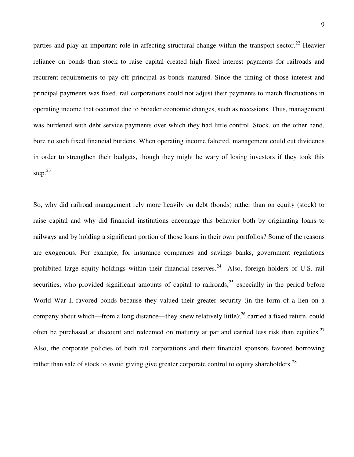parties and play an important role in affecting structural change within the transport sector.<sup>22</sup> Heavier reliance on bonds than stock to raise capital created high fixed interest payments for railroads and recurrent requirements to pay off principal as bonds matured. Since the timing of those interest and principal payments was fixed, rail corporations could not adjust their payments to match fluctuations in operating income that occurred due to broader economic changes, such as recessions. Thus, management was burdened with debt service payments over which they had little control. Stock, on the other hand, bore no such fixed financial burdens. When operating income faltered, management could cut dividends in order to strengthen their budgets, though they might be wary of losing investors if they took this step. $23$ 

So, why did railroad management rely more heavily on debt (bonds) rather than on equity (stock) to raise capital and why did financial institutions encourage this behavior both by originating loans to railways and by holding a significant portion of those loans in their own portfolios? Some of the reasons are exogenous. For example, for insurance companies and savings banks, government regulations prohibited large equity holdings within their financial reserves.<sup>24</sup> Also, foreign holders of U.S. rail securities, who provided significant amounts of capital to railroads,  $25$  especially in the period before World War I, favored bonds because they valued their greater security (in the form of a lien on a company about which—from a long distance—they knew relatively little);  $^{26}$  carried a fixed return, could often be purchased at discount and redeemed on maturity at par and carried less risk than equities.<sup>27</sup> Also, the corporate policies of both rail corporations and their financial sponsors favored borrowing rather than sale of stock to avoid giving give greater corporate control to equity shareholders.<sup>28</sup>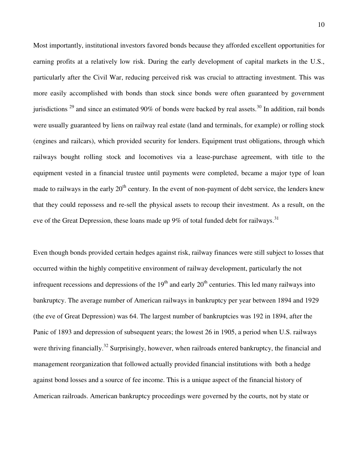Most importantly, institutional investors favored bonds because they afforded excellent opportunities for earning profits at a relatively low risk. During the early development of capital markets in the U.S., particularly after the Civil War, reducing perceived risk was crucial to attracting investment. This was more easily accomplished with bonds than stock since bonds were often guaranteed by government jurisdictions  $^{29}$  and since an estimated 90% of bonds were backed by real assets.<sup>30</sup> In addition, rail bonds were usually guaranteed by liens on railway real estate (land and terminals, for example) or rolling stock (engines and railcars), which provided security for lenders. Equipment trust obligations, through which railways bought rolling stock and locomotives via a lease-purchase agreement, with title to the equipment vested in a financial trustee until payments were completed, became a major type of loan made to railways in the early 20<sup>th</sup> century. In the event of non-payment of debt service, the lenders knew that they could repossess and re-sell the physical assets to recoup their investment. As a result, on the eve of the Great Depression, these loans made up  $9\%$  of total funded debt for railways.<sup>31</sup>

Even though bonds provided certain hedges against risk, railway finances were still subject to losses that occurred within the highly competitive environment of railway development, particularly the not infrequent recessions and depressions of the  $19<sup>th</sup>$  and early  $20<sup>th</sup>$  centuries. This led many railways into bankruptcy. The average number of American railways in bankruptcy per year between 1894 and 1929 (the eve of Great Depression) was 64. The largest number of bankruptcies was 192 in 1894, after the Panic of 1893 and depression of subsequent years; the lowest 26 in 1905, a period when U.S. railways were thriving financially.<sup>32</sup> Surprisingly, however, when railroads entered bankruptcy, the financial and management reorganization that followed actually provided financial institutions with both a hedge against bond losses and a source of fee income. This is a unique aspect of the financial history of American railroads. American bankruptcy proceedings were governed by the courts, not by state or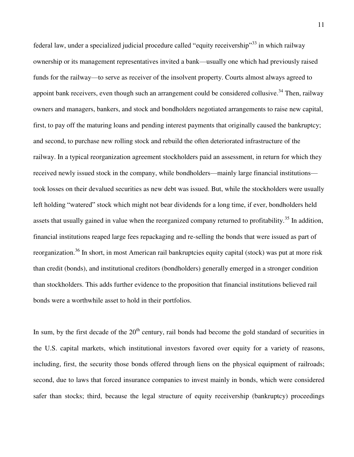federal law, under a specialized judicial procedure called "equity receivership"<sup>33</sup> in which railway ownership or its management representatives invited a bank—usually one which had previously raised funds for the railway—to serve as receiver of the insolvent property. Courts almost always agreed to appoint bank receivers, even though such an arrangement could be considered collusive.<sup>34</sup> Then, railway owners and managers, bankers, and stock and bondholders negotiated arrangements to raise new capital, first, to pay off the maturing loans and pending interest payments that originally caused the bankruptcy; and second, to purchase new rolling stock and rebuild the often deteriorated infrastructure of the railway. In a typical reorganization agreement stockholders paid an assessment, in return for which they received newly issued stock in the company, while bondholders—mainly large financial institutions took losses on their devalued securities as new debt was issued. But, while the stockholders were usually left holding "watered" stock which might not bear dividends for a long time, if ever, bondholders held assets that usually gained in value when the reorganized company returned to profitability.<sup>35</sup> In addition, financial institutions reaped large fees repackaging and re-selling the bonds that were issued as part of reorganization.<sup>36</sup> In short, in most American rail bankruptcies equity capital (stock) was put at more risk than credit (bonds), and institutional creditors (bondholders) generally emerged in a stronger condition than stockholders. This adds further evidence to the proposition that financial institutions believed rail bonds were a worthwhile asset to hold in their portfolios.

In sum, by the first decade of the  $20<sup>th</sup>$  century, rail bonds had become the gold standard of securities in the U.S. capital markets, which institutional investors favored over equity for a variety of reasons, including, first, the security those bonds offered through liens on the physical equipment of railroads; second, due to laws that forced insurance companies to invest mainly in bonds, which were considered safer than stocks; third, because the legal structure of equity receivership (bankruptcy) proceedings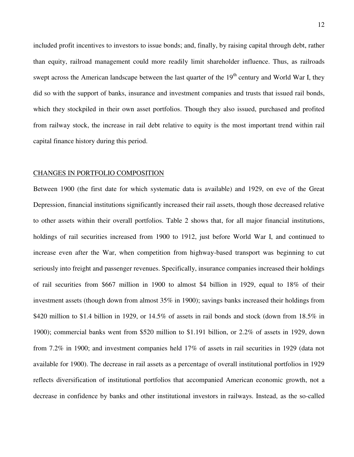included profit incentives to investors to issue bonds; and, finally, by raising capital through debt, rather than equity, railroad management could more readily limit shareholder influence. Thus, as railroads swept across the American landscape between the last quarter of the  $19<sup>th</sup>$  century and World War I, they did so with the support of banks, insurance and investment companies and trusts that issued rail bonds, which they stockpiled in their own asset portfolios. Though they also issued, purchased and profited from railway stock, the increase in rail debt relative to equity is the most important trend within rail capital finance history during this period.

## CHANGES IN PORTFOLIO COMPOSITION

Between 1900 (the first date for which systematic data is available) and 1929, on eve of the Great Depression, financial institutions significantly increased their rail assets, though those decreased relative to other assets within their overall portfolios. Table 2 shows that, for all major financial institutions, holdings of rail securities increased from 1900 to 1912, just before World War I, and continued to increase even after the War, when competition from highway-based transport was beginning to cut seriously into freight and passenger revenues. Specifically, insurance companies increased their holdings of rail securities from \$667 million in 1900 to almost \$4 billion in 1929, equal to 18% of their investment assets (though down from almost 35% in 1900); savings banks increased their holdings from \$420 million to \$1.4 billion in 1929, or 14.5% of assets in rail bonds and stock (down from 18.5% in 1900); commercial banks went from \$520 million to \$1.191 billion, or 2.2% of assets in 1929, down from 7.2% in 1900; and investment companies held 17% of assets in rail securities in 1929 (data not available for 1900). The decrease in rail assets as a percentage of overall institutional portfolios in 1929 reflects diversification of institutional portfolios that accompanied American economic growth, not a decrease in confidence by banks and other institutional investors in railways. Instead, as the so-called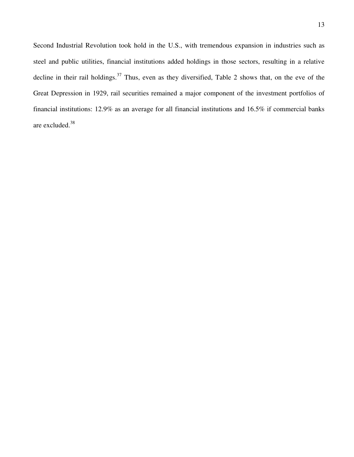Second Industrial Revolution took hold in the U.S., with tremendous expansion in industries such as steel and public utilities, financial institutions added holdings in those sectors, resulting in a relative decline in their rail holdings.<sup>37</sup> Thus, even as they diversified, Table 2 shows that, on the eve of the Great Depression in 1929, rail securities remained a major component of the investment portfolios of financial institutions: 12.9% as an average for all financial institutions and 16.5% if commercial banks are excluded.<sup>38</sup>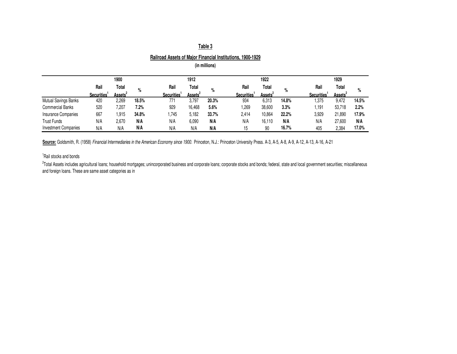|                             |                         |                     |       | <b>Railroad Assets of Major Financial Institutions, 1900-1929</b> |                     |               |                   |                     |       |                         |                     |       |
|-----------------------------|-------------------------|---------------------|-------|-------------------------------------------------------------------|---------------------|---------------|-------------------|---------------------|-------|-------------------------|---------------------|-------|
|                             |                         |                     |       |                                                                   |                     | (in millions) |                   |                     |       |                         |                     |       |
|                             |                         | 1900                |       |                                                                   | 1912                |               |                   | 1922                |       |                         | 1929                |       |
|                             | Rail                    | Total               | %     | Rail                                                              | Total               | $\%$          | Rail              | Total               | %     | Rail                    | Total               | %     |
|                             | Securities <sup>1</sup> | Assets <sup>2</sup> |       | Securities <sup>1</sup>                                           | Assets <sup>2</sup> |               | <b>Securities</b> | Assets <sup>2</sup> |       | Securities <sup>1</sup> | Assets <sup>2</sup> |       |
| Mutual Savings Banks        | 420                     | 2,269               | 18.5% | 771                                                               | 3,797               | 20.3%         | 934               | 6.313               | 14.8% | 1,375                   | 9,472               | 14.5% |
| <b>Commercial Banks</b>     | 520                     | 7,207               | 7.2%  | 929                                                               | 16,468              | 5.6%          | 1,269             | 38,600              | 3.3%  | 1,191                   | 53,718              | 2.2%  |
| Insurance Companies         | 667                     | 1,915               | 34.8% | 1,745                                                             | 5,182               | 33.7%         | 2,414             | 10,864              | 22.2% | 3,929                   | 21,890              | 17.9% |
| <b>Trust Funds</b>          | N/A                     | 2,670               | N/A   | N/A                                                               | 6,090               | N/A           | N/A               | 16.110              | N/A   | N/A                     | 27,600              | N/A   |
| <b>Investment Companies</b> | N/A                     | N/A                 | N/A   | N/A                                                               | N/A                 | N/A           | 15                | 90                  | 16.7% | 405                     | 2,384               | 17.0% |

**Source:** Goldsmith, R. (1958) *Financial Intermediaries in the American Economy since 1900.* Princeton, N.J.: Princeton University Press. A-3, A-5, A-8, A-9, A-12, A-13, A-16, A-21

<sup>1</sup>Rail stocks and bonds

<sup>2</sup>Total Assets includes agricultural loans; household mortgages; unincorporated business and corporate loans; corporate stocks and bonds; federal, state and local government securities; miscellaneous and foreign loans. These are same asset categories as in

## **Table 3**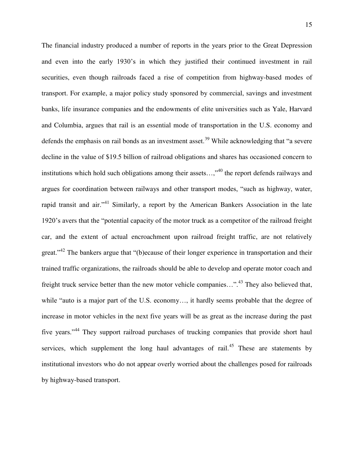The financial industry produced a number of reports in the years prior to the Great Depression and even into the early 1930's in which they justified their continued investment in rail securities, even though railroads faced a rise of competition from highway-based modes of transport. For example, a major policy study sponsored by commercial, savings and investment banks, life insurance companies and the endowments of elite universities such as Yale, Harvard and Columbia, argues that rail is an essential mode of transportation in the U.S. economy and defends the emphasis on rail bonds as an investment asset.<sup>39</sup> While acknowledging that "a severe decline in the value of \$19.5 billion of railroad obligations and shares has occasioned concern to institutions which hold such obligations among their assets...,"<sup>40</sup> the report defends railways and argues for coordination between railways and other transport modes, "such as highway, water, rapid transit and air."<sup>41</sup> Similarly, a report by the American Bankers Association in the late 1920"s avers that the "potential capacity of the motor truck as a competitor of the railroad freight car, and the extent of actual encroachment upon railroad freight traffic, are not relatively great."<sup>42</sup> The bankers argue that "(b)ecause of their longer experience in transportation and their trained traffic organizations, the railroads should be able to develop and operate motor coach and freight truck service better than the new motor vehicle companies…".<sup>43</sup> They also believed that, while "auto is a major part of the U.S. economy..., it hardly seems probable that the degree of increase in motor vehicles in the next five years will be as great as the increase during the past five years."<sup>44</sup> They support railroad purchases of trucking companies that provide short haul services, which supplement the long haul advantages of rail.<sup>45</sup> These are statements by institutional investors who do not appear overly worried about the challenges posed for railroads by highway-based transport.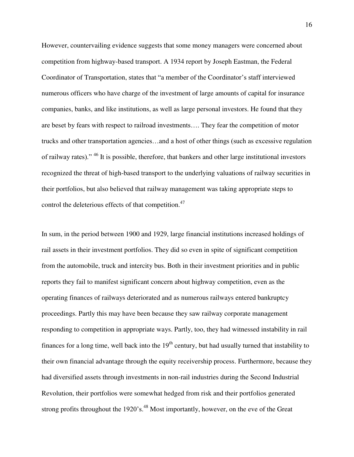However, countervailing evidence suggests that some money managers were concerned about competition from highway-based transport. A 1934 report by Joseph Eastman, the Federal Coordinator of Transportation, states that "a member of the Coordinator"s staff interviewed numerous officers who have charge of the investment of large amounts of capital for insurance companies, banks, and like institutions, as well as large personal investors. He found that they are beset by fears with respect to railroad investments…. They fear the competition of motor trucks and other transportation agencies…and a host of other things (such as excessive regulation of railway rates)." <sup>46</sup> It is possible, therefore, that bankers and other large institutional investors recognized the threat of high-based transport to the underlying valuations of railway securities in their portfolios, but also believed that railway management was taking appropriate steps to control the deleterious effects of that competition.<sup>47</sup>

In sum, in the period between 1900 and 1929, large financial institutions increased holdings of rail assets in their investment portfolios. They did so even in spite of significant competition from the automobile, truck and intercity bus. Both in their investment priorities and in public reports they fail to manifest significant concern about highway competition, even as the operating finances of railways deteriorated and as numerous railways entered bankruptcy proceedings. Partly this may have been because they saw railway corporate management responding to competition in appropriate ways. Partly, too, they had witnessed instability in rail finances for a long time, well back into the 19<sup>th</sup> century, but had usually turned that instability to their own financial advantage through the equity receivership process. Furthermore, because they had diversified assets through investments in non-rail industries during the Second Industrial Revolution, their portfolios were somewhat hedged from risk and their portfolios generated strong profits throughout the 1920's.<sup>48</sup> Most importantly, however, on the eve of the Great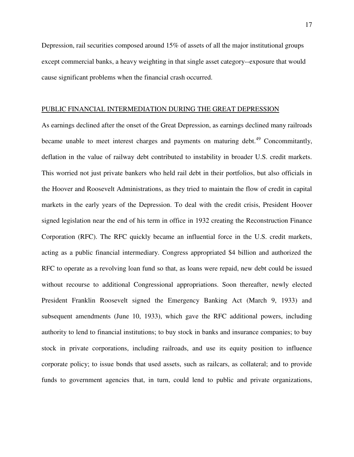Depression, rail securities composed around 15% of assets of all the major institutional groups except commercial banks, a heavy weighting in that single asset category--exposure that would cause significant problems when the financial crash occurred.

## PUBLIC FINANCIAL INTERMEDIATION DURING THE GREAT DEPRESSION

As earnings declined after the onset of the Great Depression, as earnings declined many railroads became unable to meet interest charges and payments on maturing debt.<sup>49</sup> Concommitantly, deflation in the value of railway debt contributed to instability in broader U.S. credit markets. This worried not just private bankers who held rail debt in their portfolios, but also officials in the Hoover and Roosevelt Administrations, as they tried to maintain the flow of credit in capital markets in the early years of the Depression. To deal with the credit crisis, President Hoover signed legislation near the end of his term in office in 1932 creating the Reconstruction Finance Corporation (RFC). The RFC quickly became an influential force in the U.S. credit markets, acting as a public financial intermediary. Congress appropriated \$4 billion and authorized the RFC to operate as a revolving loan fund so that, as loans were repaid, new debt could be issued without recourse to additional Congressional appropriations. Soon thereafter, newly elected President Franklin Roosevelt signed the Emergency Banking Act (March 9, 1933) and subsequent amendments (June 10, 1933), which gave the RFC additional powers, including authority to lend to financial institutions; to buy stock in banks and insurance companies; to buy stock in private corporations, including railroads, and use its equity position to influence corporate policy; to issue bonds that used assets, such as railcars, as collateral; and to provide funds to government agencies that, in turn, could lend to public and private organizations,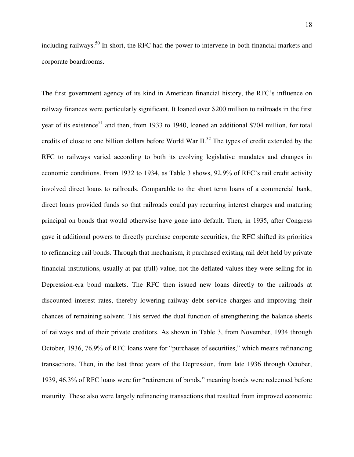including railways.<sup>50</sup> In short, the RFC had the power to intervene in both financial markets and corporate boardrooms.

The first government agency of its kind in American financial history, the RFC"s influence on railway finances were particularly significant. It loaned over \$200 million to railroads in the first year of its existence<sup>51</sup> and then, from 1933 to 1940, loaned an additional \$704 million, for total credits of close to one billion dollars before World War II.<sup>52</sup> The types of credit extended by the RFC to railways varied according to both its evolving legislative mandates and changes in economic conditions. From 1932 to 1934, as Table 3 shows, 92.9% of RFC"s rail credit activity involved direct loans to railroads. Comparable to the short term loans of a commercial bank, direct loans provided funds so that railroads could pay recurring interest charges and maturing principal on bonds that would otherwise have gone into default. Then, in 1935, after Congress gave it additional powers to directly purchase corporate securities, the RFC shifted its priorities to refinancing rail bonds. Through that mechanism, it purchased existing rail debt held by private financial institutions, usually at par (full) value, not the deflated values they were selling for in Depression-era bond markets. The RFC then issued new loans directly to the railroads at discounted interest rates, thereby lowering railway debt service charges and improving their chances of remaining solvent. This served the dual function of strengthening the balance sheets of railways and of their private creditors. As shown in Table 3, from November, 1934 through October, 1936, 76.9% of RFC loans were for "purchases of securities," which means refinancing transactions. Then, in the last three years of the Depression, from late 1936 through October, 1939, 46.3% of RFC loans were for "retirement of bonds," meaning bonds were redeemed before maturity. These also were largely refinancing transactions that resulted from improved economic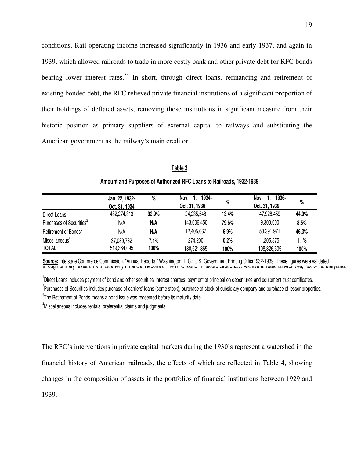conditions. Rail operating income increased significantly in 1936 and early 1937, and again in 1939, which allowed railroads to trade in more costly bank and other private debt for RFC bonds bearing lower interest rates.<sup>53</sup> In short, through direct loans, refinancing and retirement of existing bonded debt, the RFC relieved private financial institutions of a significant proportion of their holdings of deflated assets, removing those institutions in significant measure from their historic position as primary suppliers of external capital to railways and substituting the American government as the railway"s main creditor.

|                                      | Jan. 22, 1932- | %     | 1934-<br>Nov. | %     | 1936-<br>Nov. | %     |
|--------------------------------------|----------------|-------|---------------|-------|---------------|-------|
|                                      | Oct. 31, 1934  |       | Oct. 31, 1936 |       | Oct. 31, 1939 |       |
| Direct Loans <sup>1</sup>            | 482,274,313    | 92.9% | 24,235,548    | 13.4% | 47,928,459    | 44.0% |
| Purchases of Securities <sup>2</sup> | N/A            | N/A   | 143,606,450   | 79.6% | 9,300,000     | 8.5%  |
| Retirement of Bonds <sup>3</sup>     | N/A            | N/A   | 12,405,667    | 6.9%  | 50,391,971    | 46.3% |
| Miscellaneous <sup>4</sup>           | 37,089,782     | 7.1%  | 274,200       | 0.2%  | 1,205,875     | 1.1%  |
| <b>TOTAL</b>                         | 519,364,095    | 100%  | 180,521,865   | 100%  | 108,826,305   | 100%  |

**Table 3 Amount and Purposes of Authorized RFC Loans to Railroads, 1932-1939**

**Source:** Interstate Commerce Commission. "Annual Reports." Washington, D.C.: U.S. Government Printing Office1932-1939. These figures were validated through primary research with Quarterly Financial Reports of the RFC found in Record Group 237, Archive II, National Archives, Rockville, Maryland.

<sup>1</sup>Direct Loans includes payment of bond and other securities' interest charges; payment of principal on debentures and equipment trust certificates. <sup>2</sup>Purchases of Securities includes purchase of carriers' loans (some stock), purchase of stock of subsidiary company and purchase of lessor properties.  $3$ The Retirement of Bonds means a bond issue was redeemed before its maturity date.

<sup>4</sup>Miscellaneous includes rentals, preferential claims and judgments.

The RFC"s interventions in private capital markets during the 1930"s represent a watershed in the financial history of American railroads, the effects of which are reflected in Table 4, showing changes in the composition of assets in the portfolios of financial institutions between 1929 and 1939.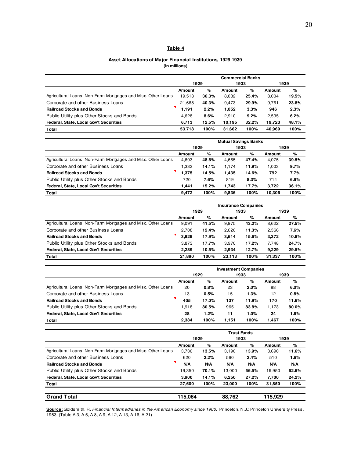#### **Asset Allocations of Major Financial Institutions, 1929-1939 (in millions)**

|                                                              | <b>Commercial Banks</b> |       |        |       |        |       |  |  |
|--------------------------------------------------------------|-------------------------|-------|--------|-------|--------|-------|--|--|
|                                                              |                         | 1929  |        | 1933  | 1939   |       |  |  |
|                                                              | Amount                  | %     | Amount | %     | Amount | %     |  |  |
| Agricultural Loans, Non-Farm Mortgages and Misc. Other Loans | 19.518                  | 36.3% | 8,032  | 25.4% | 8.004  | 19.5% |  |  |
| Corporate and other Business Loans                           | 21.668                  | 40.3% | 9,473  | 29.9% | 9,761  | 23.8% |  |  |
| <b>Railroad Stocks and Bonds</b>                             | 1.191                   | 2.2%  | 1.052  | 3.3%  | 946    | 2.3%  |  |  |
| Public Utility plus Other Stocks and Bonds                   | 4.628                   | 8.6%  | 2.910  | 9.2%  | 2.535  | 6.2%  |  |  |
| Federal, State, Local Gov't Securities                       | 6.713                   | 12.5% | 10.195 | 32.2% | 19.723 | 48.1% |  |  |
| <b>Total</b>                                                 | 53.718                  | 100%  | 31.662 | 100%  | 40.969 | 100%  |  |  |

|                                                              | <b>Mutual Savings Banks</b> |       |        |       |        |       |  |  |
|--------------------------------------------------------------|-----------------------------|-------|--------|-------|--------|-------|--|--|
|                                                              | 1929                        |       | 1933   |       | 1939   |       |  |  |
|                                                              | %<br>%<br>Amount<br>Amount  |       | Amount | %     |        |       |  |  |
| Agricultural Loans, Non-Farm Mortgages and Misc. Other Loans | 4.603                       | 48.6% | 4,665  | 47.4% | 4,075  | 39.5% |  |  |
| Corporate and other Business Loans                           | 1.333                       | 14.1% | 1.174  | 11.9% | 1.003  | 9.7%  |  |  |
| <b>Railroad Stocks and Bonds</b>                             | 1,375                       | 14.5% | 1,435  | 14.6% | 792    | 7.7%  |  |  |
| Public Utility plus Other Stocks and Bonds                   | 720                         | 7.6%  | 819    | 8.3%  | 714    | 6.9%  |  |  |
| Federal, State, Local Gov't Securities                       | 1.441                       | 15.2% | 1.743  | 17.7% | 3.722  | 36.1% |  |  |
| <b>Total</b>                                                 | 9.472                       | 100%  | 9.836  | 100%  | 10.306 | 100%  |  |  |

|                                                              | <b>Insurance Companies</b> |       |        |       |        |       |  |  |
|--------------------------------------------------------------|----------------------------|-------|--------|-------|--------|-------|--|--|
|                                                              | 1929                       |       | 1933   |       | 1939   |       |  |  |
|                                                              | Amount                     | %     | Amount | %     | Amount | %     |  |  |
| Agricultural Loans, Non-Farm Mortgages and Misc. Other Loans | 9.091                      | 41.5% | 9.975  | 43.2% | 8,622  | 27.5% |  |  |
| Corporate and other Business Loans                           |                            | 12.4% | 2.620  | 11.3% | 2,366  | 7.6%  |  |  |
| <b>Railroad Stocks and Bonds</b>                             | 3.929                      | 17.9% | 3,614  | 15.6% | 3,372  | 10.8% |  |  |
| Public Utility plus Other Stocks and Bonds                   | 3.873                      | 17.7% | 3.970  | 17.2% | 7.748  | 24.7% |  |  |
| <b>Federal, State, Local Gov't Securities</b>                | 2.289                      | 10.5% | 2.934  | 12.7% | 9,229  | 29.5% |  |  |
| <b>Total</b>                                                 | 21.890                     | 100%  | 23.113 | 100%  | 31,337 | 100%  |  |  |

|                                                              | <b>Investment Companies</b> |       |        |       |        |       |  |  |
|--------------------------------------------------------------|-----------------------------|-------|--------|-------|--------|-------|--|--|
|                                                              |                             | 1929  |        | 1933  | 1939   |       |  |  |
|                                                              | <b>Amount</b>               | %     | Amount | %     | Amount | %     |  |  |
| Agricultural Loans, Non-Farm Mortgages and Misc. Other Loans | 20                          | 0.8%  | 23     | 2.0%  | 88     | 6.0%  |  |  |
| Corporate and other Business Loans                           |                             | 0.5%  | 15     | 1.3%  | 12     | 0.8%  |  |  |
| <b>Railroad Stocks and Bonds</b>                             | 405                         | 17.0% | 137    | 11.9% | 170    | 11.6% |  |  |
| Public Utility plus Other Stocks and Bonds                   | 1.918                       | 80.5% | 965    | 83.8% | 1.173  | 80.0% |  |  |
| Federal, State, Local Gov't Securities                       | 28                          | 1.2%  | 11     | 1.0%  | 24     | 1.6%  |  |  |
| <b>Total</b>                                                 | 2.384                       | 100%  | 1.151  | 100%  | 1.467  | 100%  |  |  |

|                                                              |        |       | <b>Trust Funds</b> |       |         |       |
|--------------------------------------------------------------|--------|-------|--------------------|-------|---------|-------|
|                                                              | 1929   |       | 1933               |       | 1939    |       |
|                                                              | Amount | %     | Amount             | %     | Amount  | %     |
| Agricultural Loans, Non-Farm Mortgages and Misc. Other Loans | 3,730  | 13.5% | 3.190              | 13.9% | 3,690   | 11.6% |
| Corporate and other Business Loans                           |        | 2.2%  | 560                | 2.4%  | 510     | 1.6%  |
| <b>Railroad Stocks and Bonds</b>                             |        | N/A   | N/A                | N/A   | N/A     | N/A   |
| Public Utility plus Other Stocks and Bonds                   | 19.350 | 70.1% | 13.000             | 56.5% | 19,950  | 62.6% |
| Federal, State, Local Gov't Securities                       | 3.900  | 14.1% | 6.250              | 27.2% | 7,700   | 24.2% |
| Total                                                        |        | 100%  | 23,000             | 100%  | 31,850  | 100%  |
|                                                              |        |       |                    |       |         |       |
| <b>Grand Total</b>                                           |        |       | 88.762             |       | 115.929 |       |

**Source:** Goldsmith, R. *Financial Intermediaries in the American Economy since 1900.* Princeton, N.J.: Princeton University Press, 1953. (Table A-3, A-5, A-8, A-9, A-12, A-13, A-16, A-21)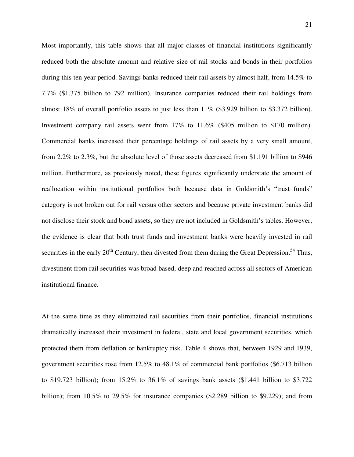Most importantly, this table shows that all major classes of financial institutions significantly reduced both the absolute amount and relative size of rail stocks and bonds in their portfolios during this ten year period. Savings banks reduced their rail assets by almost half, from 14.5% to 7.7% (\$1.375 billion to 792 million). Insurance companies reduced their rail holdings from almost 18% of overall portfolio assets to just less than 11% (\$3.929 billion to \$3.372 billion). Investment company rail assets went from 17% to 11.6% (\$405 million to \$170 million). Commercial banks increased their percentage holdings of rail assets by a very small amount, from 2.2% to 2.3%, but the absolute level of those assets decreased from \$1.191 billion to \$946 million. Furthermore, as previously noted, these figures significantly understate the amount of reallocation within institutional portfolios both because data in Goldsmith's "trust funds" category is not broken out for rail versus other sectors and because private investment banks did not disclose their stock and bond assets, so they are not included in Goldsmith"s tables. However, the evidence is clear that both trust funds and investment banks were heavily invested in rail securities in the early  $20<sup>th</sup>$  Century, then divested from them during the Great Depression.<sup>54</sup> Thus, divestment from rail securities was broad based, deep and reached across all sectors of American institutional finance.

At the same time as they eliminated rail securities from their portfolios, financial institutions dramatically increased their investment in federal, state and local government securities, which protected them from deflation or bankruptcy risk. Table 4 shows that, between 1929 and 1939, government securities rose from 12.5% to 48.1% of commercial bank portfolios (\$6.713 billion to \$19.723 billion); from 15.2% to 36.1% of savings bank assets (\$1.441 billion to \$3.722 billion); from 10.5% to 29.5% for insurance companies (\$2.289 billion to \$9.229); and from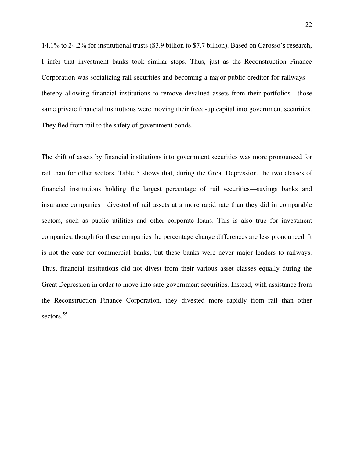14.1% to 24.2% for institutional trusts (\$3.9 billion to \$7.7 billion). Based on Carosso"s research, I infer that investment banks took similar steps. Thus, just as the Reconstruction Finance Corporation was socializing rail securities and becoming a major public creditor for railways thereby allowing financial institutions to remove devalued assets from their portfolios—those same private financial institutions were moving their freed-up capital into government securities. They fled from rail to the safety of government bonds.

The shift of assets by financial institutions into government securities was more pronounced for rail than for other sectors. Table 5 shows that, during the Great Depression, the two classes of financial institutions holding the largest percentage of rail securities—savings banks and insurance companies—divested of rail assets at a more rapid rate than they did in comparable sectors, such as public utilities and other corporate loans. This is also true for investment companies, though for these companies the percentage change differences are less pronounced. It is not the case for commercial banks, but these banks were never major lenders to railways. Thus, financial institutions did not divest from their various asset classes equally during the Great Depression in order to move into safe government securities. Instead, with assistance from the Reconstruction Finance Corporation, they divested more rapidly from rail than other sectors.<sup>55</sup>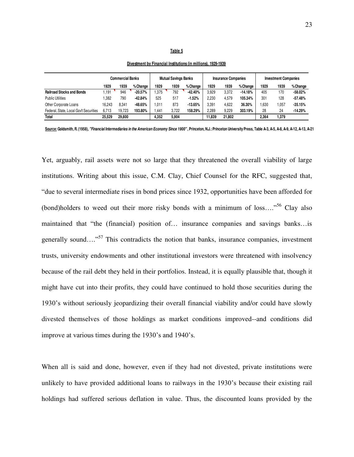#### **Table 5**

|                                        | Commercial Banks |        | <b>Mutual Savings Banks</b> |       |       | <b>Insurance Companies</b> |        |        | <b>Investment Companies</b> |       |        |           |
|----------------------------------------|------------------|--------|-----------------------------|-------|-------|----------------------------|--------|--------|-----------------------------|-------|--------|-----------|
|                                        | 1929             | 1939   | % Change                    | 1929  | 1939  | % Change                   | 1929   | 1939   | % Change                    | 1929  | 1939   | % Change  |
| <b>Railroad Stocks and Bonds</b>       | 1.191            | 946    | $-20.57%$                   | .375  | 792   | $-42.40%$                  | 3.929  | 3.372  | $-14.18%$                   | 405   | 170    | $-58.02%$ |
| <b>Public Utilities</b>                | .382             | 790    | $-42.84%$                   | 525   | 517   | $-1.52%$                   | 2.230  | 4.579  | 105.34%                     | 301   | 128    | $-57.48%$ |
| Other Corporate Loans                  | 16.243           | 8.341  | $-48.65%$                   | .011  | 873   | $-13.65%$                  | 3.391  | 4.622  | 36.30%                      | .630  | ,057   | $-35.15%$ |
| Federal, State, Local Gov't Securities | 6.713            | 19.723 | 193.80%                     | .441  | 3.722 | 158.29%                    | 2.289  | 9.229  | 303.19%                     | 28    | 24     | $-14.29%$ |
| <b>Total</b>                           | 25.529           | 29,800 |                             | 4.352 | 5.904 |                            | 11.839 | 21.802 |                             | 2.364 | 379، ا |           |

## **Divestment by Financial Institutions (in millions), 1929-1939**

**Source: Goldsmith, R. (1958),** *"Financial Intermediaries in the American Economy Since 1900"* **, Princeton, N.J.: Princeton University Press, Table A-3, A-5, A-8, A-9, A-12, A-13, A-21**

Yet, arguably, rail assets were not so large that they threatened the overall viability of large institutions. Writing about this issue, C.M. Clay, Chief Counsel for the RFC, suggested that, "due to several intermediate rises in bond prices since 1932, opportunities have been afforded for (bond)holders to weed out their more risky bonds with a minimum of loss…."<sup>56</sup> Clay also maintained that "the (financial) position of… insurance companies and savings banks…is generally sound…."<sup>57</sup> This contradicts the notion that banks, insurance companies, investment trusts, university endowments and other institutional investors were threatened with insolvency because of the rail debt they held in their portfolios. Instead, it is equally plausible that, though it might have cut into their profits, they could have continued to hold those securities during the 1930"s without seriously jeopardizing their overall financial viability and/or could have slowly divested themselves of those holdings as market conditions improved--and conditions did improve at various times during the 1930's and 1940's.

When all is said and done, however, even if they had not divested, private institutions were unlikely to have provided additional loans to railways in the 1930"s because their existing rail holdings had suffered serious deflation in value. Thus, the discounted loans provided by the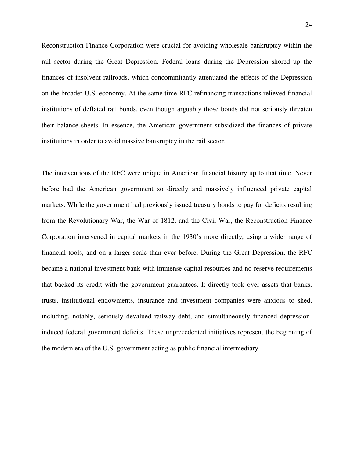Reconstruction Finance Corporation were crucial for avoiding wholesale bankruptcy within the rail sector during the Great Depression. Federal loans during the Depression shored up the finances of insolvent railroads, which concommitantly attenuated the effects of the Depression on the broader U.S. economy. At the same time RFC refinancing transactions relieved financial institutions of deflated rail bonds, even though arguably those bonds did not seriously threaten their balance sheets. In essence, the American government subsidized the finances of private institutions in order to avoid massive bankruptcy in the rail sector.

The interventions of the RFC were unique in American financial history up to that time. Never before had the American government so directly and massively influenced private capital markets. While the government had previously issued treasury bonds to pay for deficits resulting from the Revolutionary War, the War of 1812, and the Civil War, the Reconstruction Finance Corporation intervened in capital markets in the 1930"s more directly, using a wider range of financial tools, and on a larger scale than ever before. During the Great Depression, the RFC became a national investment bank with immense capital resources and no reserve requirements that backed its credit with the government guarantees. It directly took over assets that banks, trusts, institutional endowments, insurance and investment companies were anxious to shed, including, notably, seriously devalued railway debt, and simultaneously financed depressioninduced federal government deficits. These unprecedented initiatives represent the beginning of the modern era of the U.S. government acting as public financial intermediary.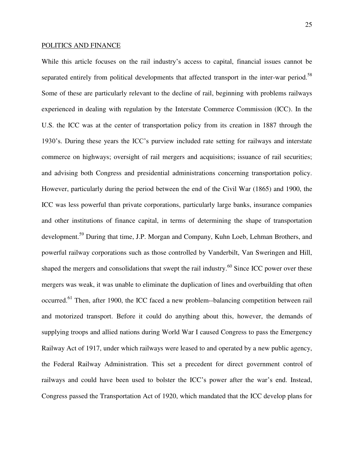## POLITICS AND FINANCE

While this article focuses on the rail industry's access to capital, financial issues cannot be separated entirely from political developments that affected transport in the inter-war period.<sup>58</sup> Some of these are particularly relevant to the decline of rail, beginning with problems railways experienced in dealing with regulation by the Interstate Commerce Commission (ICC). In the U.S. the ICC was at the center of transportation policy from its creation in 1887 through the 1930"s. During these years the ICC"s purview included rate setting for railways and interstate commerce on highways; oversight of rail mergers and acquisitions; issuance of rail securities; and advising both Congress and presidential administrations concerning transportation policy. However, particularly during the period between the end of the Civil War (1865) and 1900, the ICC was less powerful than private corporations, particularly large banks, insurance companies and other institutions of finance capital, in terms of determining the shape of transportation development.<sup>59</sup> During that time, J.P. Morgan and Company, Kuhn Loeb, Lehman Brothers, and powerful railway corporations such as those controlled by Vanderbilt, Van Sweringen and Hill, shaped the mergers and consolidations that swept the rail industry.<sup>60</sup> Since ICC power over these mergers was weak, it was unable to eliminate the duplication of lines and overbuilding that often occurred.<sup>61</sup> Then, after 1900, the ICC faced a new problem--balancing competition between rail and motorized transport. Before it could do anything about this, however, the demands of supplying troops and allied nations during World War I caused Congress to pass the Emergency Railway Act of 1917, under which railways were leased to and operated by a new public agency, the Federal Railway Administration. This set a precedent for direct government control of railways and could have been used to bolster the ICC"s power after the war"s end. Instead, Congress passed the Transportation Act of 1920, which mandated that the ICC develop plans for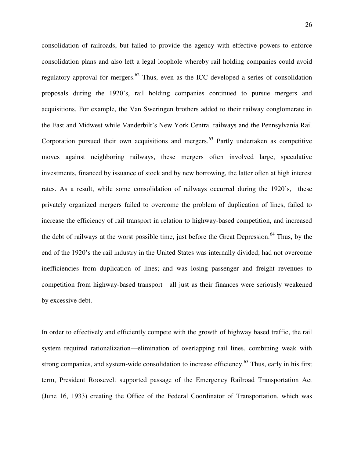consolidation of railroads, but failed to provide the agency with effective powers to enforce consolidation plans and also left a legal loophole whereby rail holding companies could avoid regulatory approval for mergers.<sup>62</sup> Thus, even as the ICC developed a series of consolidation proposals during the 1920"s, rail holding companies continued to pursue mergers and acquisitions. For example, the Van Sweringen brothers added to their railway conglomerate in the East and Midwest while Vanderbilt"s New York Central railways and the Pennsylvania Rail Corporation pursued their own acquisitions and mergers.<sup>63</sup> Partly undertaken as competitive moves against neighboring railways, these mergers often involved large, speculative investments, financed by issuance of stock and by new borrowing, the latter often at high interest rates. As a result, while some consolidation of railways occurred during the 1920's, these privately organized mergers failed to overcome the problem of duplication of lines, failed to increase the efficiency of rail transport in relation to highway-based competition, and increased the debt of railways at the worst possible time, just before the Great Depression.<sup>64</sup> Thus, by the end of the 1920"s the rail industry in the United States was internally divided; had not overcome inefficiencies from duplication of lines; and was losing passenger and freight revenues to competition from highway-based transport—all just as their finances were seriously weakened by excessive debt.

In order to effectively and efficiently compete with the growth of highway based traffic, the rail system required rationalization—elimination of overlapping rail lines, combining weak with strong companies, and system-wide consolidation to increase efficiency.<sup>65</sup> Thus, early in his first term, President Roosevelt supported passage of the Emergency Railroad Transportation Act (June 16, 1933) creating the Office of the Federal Coordinator of Transportation, which was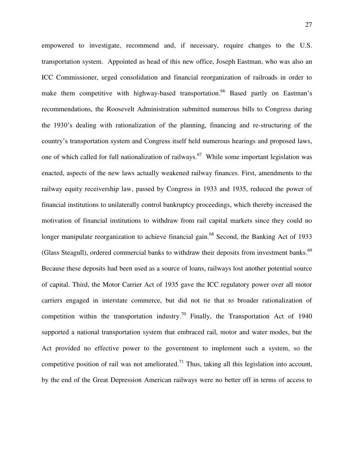empowered to investigate, recommend and, if necessary, require changes to the U.S. transportation system. Appointed as head of this new office, Joseph Eastman, who was also an ICC Commissioner, urged consolidation and financial reorganization of railroads in order to make them competitive with highway-based transportation.<sup>66</sup> Based partly on Eastman's recommendations, the Roosevelt Administration submitted numerous bills to Congress during the 1930"s dealing with rationalization of the planning, financing and re-structuring of the country"s transportation system and Congress itself held numerous hearings and proposed laws, one of which called for full nationalization of railways.<sup>67</sup> While some important legislation was enacted, aspects of the new laws actually weakened railway finances. First, amendments to the railway equity receivership law, passed by Congress in 1933 and 1935, reduced the power of financial institutions to unilaterally control bankruptcy proceedings, which thereby increased the motivation of financial institutions to withdraw from rail capital markets since they could no longer manipulate reorganization to achieve financial gain.<sup>68</sup> Second, the Banking Act of 1933 (Glass Steagull), ordered commercial banks to withdraw their deposits from investment banks.<sup>69</sup> Because these deposits had been used as a source of loans, railways lost another potential source of capital. Third, the Motor Carrier Act of 1935 gave the ICC regulatory power over all motor carriers engaged in interstate commerce, but did not tie that to broader rationalization of competition within the transportation industry.<sup>70</sup> Finally, the Transportation Act of 1940 supported a national transportation system that embraced rail, motor and water modes, but the Act provided no effective power to the government to implement such a system, so the competitive position of rail was not ameliorated.<sup>71</sup> Thus, taking all this legislation into account, by the end of the Great Depression American railways were no better off in terms of access to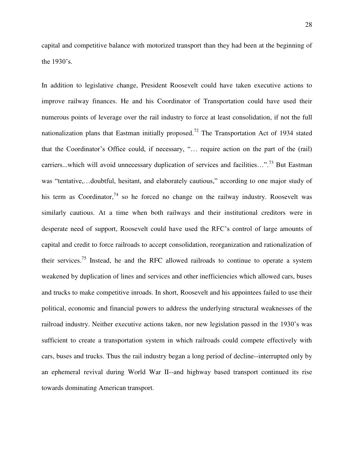capital and competitive balance with motorized transport than they had been at the beginning of the 1930"s.

In addition to legislative change, President Roosevelt could have taken executive actions to improve railway finances. He and his Coordinator of Transportation could have used their numerous points of leverage over the rail industry to force at least consolidation, if not the full nationalization plans that Eastman initially proposed.<sup>72</sup> The Transportation Act of 1934 stated that the Coordinator"s Office could, if necessary, "… require action on the part of the (rail) carriers...which will avoid unnecessary duplication of services and facilities...".<sup>73</sup> But Eastman was "tentative,…doubtful, hesitant, and elaborately cautious," according to one major study of his term as Coordinator,  $74$  so he forced no change on the railway industry. Roosevelt was similarly cautious. At a time when both railways and their institutional creditors were in desperate need of support, Roosevelt could have used the RFC"s control of large amounts of capital and credit to force railroads to accept consolidation, reorganization and rationalization of their services.<sup>75</sup> Instead, he and the RFC allowed railroads to continue to operate a system weakened by duplication of lines and services and other inefficiencies which allowed cars, buses and trucks to make competitive inroads. In short, Roosevelt and his appointees failed to use their political, economic and financial powers to address the underlying structural weaknesses of the railroad industry. Neither executive actions taken, nor new legislation passed in the 1930"s was sufficient to create a transportation system in which railroads could compete effectively with cars, buses and trucks. Thus the rail industry began a long period of decline--interrupted only by an ephemeral revival during World War II--and highway based transport continued its rise towards dominating American transport.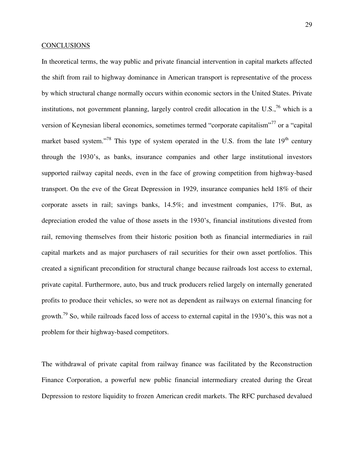### CONCLUSIONS

In theoretical terms, the way public and private financial intervention in capital markets affected the shift from rail to highway dominance in American transport is representative of the process by which structural change normally occurs within economic sectors in the United States. Private institutions, not government planning, largely control credit allocation in the U.S.,  $\frac{76}{10}$  which is a version of Keynesian liberal economics, sometimes termed "corporate capitalism"<sup>77</sup> or a "capital" market based system."<sup>78</sup> This type of system operated in the U.S. from the late  $19<sup>th</sup>$  century through the 1930"s, as banks, insurance companies and other large institutional investors supported railway capital needs, even in the face of growing competition from highway-based transport. On the eve of the Great Depression in 1929, insurance companies held 18% of their corporate assets in rail; savings banks, 14.5%; and investment companies, 17%. But, as depreciation eroded the value of those assets in the 1930"s, financial institutions divested from rail, removing themselves from their historic position both as financial intermediaries in rail capital markets and as major purchasers of rail securities for their own asset portfolios. This created a significant precondition for structural change because railroads lost access to external, private capital. Furthermore, auto, bus and truck producers relied largely on internally generated profits to produce their vehicles, so were not as dependent as railways on external financing for growth.<sup>79</sup> So, while railroads faced loss of access to external capital in the 1930's, this was not a problem for their highway-based competitors.

The withdrawal of private capital from railway finance was facilitated by the Reconstruction Finance Corporation, a powerful new public financial intermediary created during the Great Depression to restore liquidity to frozen American credit markets. The RFC purchased devalued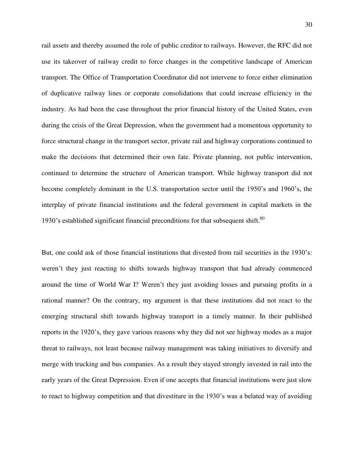rail assets and thereby assumed the role of public creditor to railways. However, the RFC did not use its takeover of railway credit to force changes in the competitive landscape of American transport. The Office of Transportation Coordinator did not intervene to force either elimination of duplicative railway lines or corporate consolidations that could increase efficiency in the industry. As had been the case throughout the prior financial history of the United States, even during the crisis of the Great Depression, when the government had a momentous opportunity to force structural change in the transport sector, private rail and highway corporations continued to make the decisions that determined their own fate. Private planning, not public intervention, continued to determine the structure of American transport. While highway transport did not become completely dominant in the U.S. transportation sector until the 1950"s and 1960"s, the interplay of private financial institutions and the federal government in capital markets in the 1930's established significant financial preconditions for that subsequent shift.<sup>80</sup>

But, one could ask of those financial institutions that divested from rail securities in the 1930"s: weren"t they just reacting to shifts towards highway transport that had already commenced around the time of World War I? Weren"t they just avoiding losses and pursuing profits in a rational manner? On the contrary, my argument is that these institutions did not react to the emerging structural shift towards highway transport in a timely manner. In their published reports in the 1920"s, they gave various reasons why they did not see highway modes as a major threat to railways, not least because railway management was taking initiatives to diversify and merge with trucking and bus companies. As a result they stayed strongly invested in rail into the early years of the Great Depression. Even if one accepts that financial institutions were just slow to react to highway competition and that divestiture in the 1930"s was a belated way of avoiding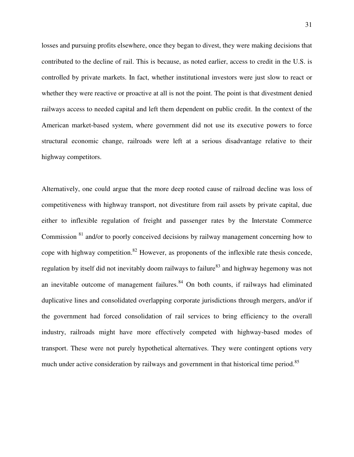losses and pursuing profits elsewhere, once they began to divest, they were making decisions that contributed to the decline of rail. This is because, as noted earlier, access to credit in the U.S. is controlled by private markets. In fact, whether institutional investors were just slow to react or whether they were reactive or proactive at all is not the point. The point is that divestment denied railways access to needed capital and left them dependent on public credit. In the context of the American market-based system, where government did not use its executive powers to force structural economic change, railroads were left at a serious disadvantage relative to their highway competitors.

Alternatively, one could argue that the more deep rooted cause of railroad decline was loss of competitiveness with highway transport, not divestiture from rail assets by private capital, due either to inflexible regulation of freight and passenger rates by the Interstate Commerce Commission <sup>81</sup> and/or to poorly conceived decisions by railway management concerning how to cope with highway competition.<sup>82</sup> However, as proponents of the inflexible rate thesis concede, regulation by itself did not inevitably doom railways to failure<sup>83</sup> and highway hegemony was not an inevitable outcome of management failures. $84$  On both counts, if railways had eliminated duplicative lines and consolidated overlapping corporate jurisdictions through mergers, and/or if the government had forced consolidation of rail services to bring efficiency to the overall industry, railroads might have more effectively competed with highway-based modes of transport. These were not purely hypothetical alternatives. They were contingent options very much under active consideration by railways and government in that historical time period.<sup>85</sup>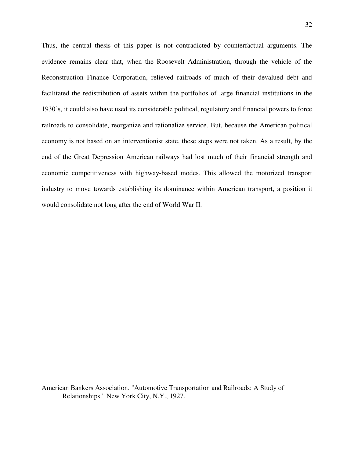Thus, the central thesis of this paper is not contradicted by counterfactual arguments. The evidence remains clear that, when the Roosevelt Administration, through the vehicle of the Reconstruction Finance Corporation, relieved railroads of much of their devalued debt and facilitated the redistribution of assets within the portfolios of large financial institutions in the 1930"s, it could also have used its considerable political, regulatory and financial powers to force railroads to consolidate, reorganize and rationalize service. But, because the American political economy is not based on an interventionist state, these steps were not taken. As a result, by the end of the Great Depression American railways had lost much of their financial strength and economic competitiveness with highway-based modes. This allowed the motorized transport industry to move towards establishing its dominance within American transport, a position it would consolidate not long after the end of World War II.

American Bankers Association. "Automotive Transportation and Railroads: A Study of Relationships." New York City, N.Y., 1927.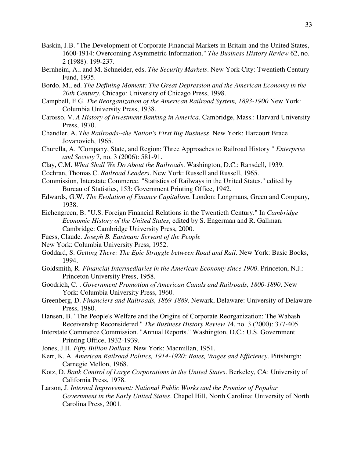- Baskin, J.B. "The Development of Corporate Financial Markets in Britain and the United States, 1600-1914: Overcoming Asymmetric Information." *The Business History Review* 62, no. 2 (1988): 199-237.
- Bernheim, A., and M. Schneider, eds. *The Security Markets*. New York City: Twentieth Century Fund, 1935.
- Bordo, M., ed. *The Defining Moment: The Great Depression and the American Economy in the 20th Century*. Chicago: University of Chicago Press, 1998.
- Campbell, E.G. *The Reorganization of the American Railroad System, 1893-1900* New York: Columbia University Press, 1938.
- Carosso, V. *A History of Investment Banking in America*. Cambridge, Mass.: Harvard University Press, 1970.
- Chandler, A. *The Railroads--the Nation's First Big Business*. New York: Harcourt Brace Jovanovich, 1965.
- Churella, A. "Company, State, and Region: Three Approaches to Railroad History " *Enterprise and Society* 7, no. 3 (2006): 581-91.
- Clay, C.M. *What Shall We Do About the Railroads*. Washington, D.C.: Ransdell, 1939.
- Cochran, Thomas C. *Railroad Leaders*. New York: Russell and Russell, 1965.
- Commission, Interstate Commerce. "Statistics of Railways in the United States." edited by Bureau of Statistics, 153: Government Printing Office, 1942.
- Edwards, G.W. *The Evolution of Finance Capitalism*. London: Longmans, Green and Company, 1938.
- Eichengreen, B. "U.S. Foreign Financial Relations in the Twentieth Century." In *Cambridge Economic History of the United States*, edited by S. Engerman and R. Gallman. Cambridge: Cambridge University Press, 2000.
- Fuess, Claude. *Joseph B. Eastman: Servant of the People*
- New York: Columbia University Press, 1952.
- Goddard, S. *Getting There: The Epic Struggle between Road and Rail*. New York: Basic Books, 1994.
- Goldsmith, R. *Financial Intermediaries in the American Economy since 1900*. Princeton, N.J.: Princeton University Press, 1958.
- Goodrich, C. . *Government Promotion of American Canals and Railroads, 1800-1890*. New York: Columbia University Press, 1960.
- Greenberg, D. *Financiers and Railroads, 1869-1889*. Newark, Delaware: University of Delaware Press, 1980.
- Hansen, B. "The People's Welfare and the Origins of Corporate Reorganization: The Wabash Receivership Reconsidered " *The Business History Review* 74, no. 3 (2000): 377-405.
- Interstate Commerce Commission. "Annual Reports." Washington, D.C.: U.S. Government Printing Office, 1932-1939.
- Jones, J.H. *Fifty Billion Dollars*. New York: Macmillan, 1951.
- Kerr, K. A. *American Railroad Politics, 1914-1920: Rates, Wages and Efficiency*. Pittsburgh: Carnegie Mellon, 1968.
- Kotz, D. *Bank Control of Large Corporations in the United States*. Berkeley, CA: University of California Press, 1978.
- Larson, J. *Internal Improvement: National Public Works and the Promise of Popular Government in the Early United States*. Chapel Hill, North Carolina: University of North Carolina Press, 2001.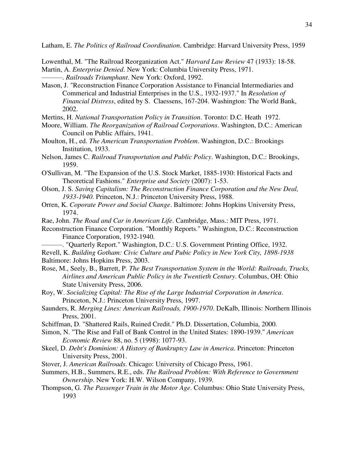Latham, E. *The Politics of Railroad Coordination*. Cambridge: Harvard University Press, 1959

Lowenthal, M. "The Railroad Reorganization Act." *Harvard Law Review* 47 (1933): 18-58. Martin, A. *Enterprise Denied*. New York: Columbia University Press, 1971.

———. *Railroads Triumphant*. New York: Oxford, 1992.

Mason, J. "Reconstruction Finance Corporation Assistance to Financial Intermediaries and Commerical and Industrial Enterprises in the U.S., 1932-1937." In *Resolution of Financial Distress*, edited by S. Claessens, 167-204. Washington: The World Bank, 2002.

- Mertins, H. *National Transportation Policy in Transition*. Toronto: D.C. Heath 1972.
- Moore, William. *The Reorganization of Railroad Corporations*. Washington, D.C.: American Council on Public Affairs, 1941.
- Moulton, H., ed. *The American Transportation Problem*. Washington, D.C.: Brookings Institution, 1933.
- Nelson, James C. *Railroad Transportation and Public Policy*. Washington, D.C.: Brookings, 1959.
- O'Sullivan, M. "The Expansion of the U.S. Stock Market, 1885-1930: Historical Facts and Theoretical Fashions." *Enterprise and Society* (2007): 1-53.
- Olson, J. S. *Saving Capitalism: The Reconstruction Finance Corporation and the New Deal, 1933-1940*. Princeton, N.J.: Princeton University Press, 1988.
- Orren, K. *Coporate Power and Social Change*. Baltimore: Johns Hopkins University Press, 1974.
- Rae, John. *The Road and Car in American Life*. Cambridge, Mass.: MIT Press, 1971.
- Reconstruction Finance Corporation. "Monthly Reports." Washington, D.C.: Reconstruction Finance Corporation, 1932-1940.
- ———. "Quarterly Report." Washington, D.C.: U.S. Government Printing Office, 1932. Revell, K. *Building Gotham: Civic Culture and Pubic Policy in New York City, 1898-1938*
- Baltimore: Johns Hopkins Press, 2003.
- Rose, M., Seely, B., Barrett, P. *The Best Transportation System in the World: Railroads, Trucks, Airlines and American Public Policy in the Twentieth Century*. Columbus, OH: Ohio State University Press, 2006.
- Roy, W. *Socializing Capital: The Rise of the Large Industrial Corporation in America*. Princeton, N.J.: Princeton University Press, 1997.
- Saunders, R. *Merging Lines: American Railroads, 1900-1970*. DeKalb, Illinois: Northern Illinois Press, 2001.
- Schiffman, D. "Shattered Rails, Ruined Credit." Ph.D. Dissertation, Columbia, 2000.
- Simon, N. "The Rise and Fall of Bank Control in the United States: 1890-1939." *American Economic Review* 88, no. 5 (1998): 1077-93.
- Skeel, D. *Debt's Dominion: A History of Bankruptcy Law in America*. Princeton: Princeton University Press, 2001.
- Stover, J. *American Railroads*. Chicago: University of Chicago Press, 1961.
- Summers, H.B., Summers, R.E., eds. *The Railroad Problem: With Reference to Government Ownership*. New York: H.W. Wilson Company, 1939.
- Thompson, G. *The Passenger Train in the Motor Age*. Columbus: Ohio State University Press, 1993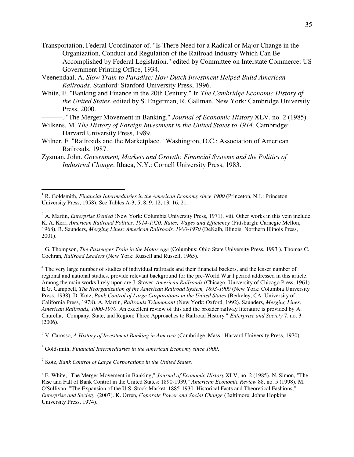- Transportation, Federal Coordinator of. "Is There Need for a Radical or Major Change in the Organization, Conduct and Regulation of the Railroad Industry Which Can Be Accomplished by Federal Legislation." edited by Committee on Interstate Commerce: US Government Printing Office, 1934.
- Veenendaal, A. *Slow Train to Paradise: How Dutch Investment Helped Build American Railroads*. Stanford: Stanford University Press, 1996.
- White, E. "Banking and Finance in the 20th Century." In *The Cambridge Economic History of the United States*, edited by S. Engerman, R. Gallman. New York: Cambridge University Press, 2000.

———. "The Merger Movement in Banking." *Journal of Economic History* XLV, no. 2 (1985).

- Wilkens, M. *The History of Foreign Investment in the United States to 1914*. Cambridge: Harvard University Press, 1989.
- Wilner, F. "Railroads and the Marketplace." Washington, D.C.: Association of American Railroads, 1987.
- Zysman, John. *Government, Markets and Growth: Financial Systems and the Politics of Industrial Change*. Ithaca, N.Y.: Cornell University Press, 1983.

3 G. Thompson, *The Passenger Train in the Motor Age* (Columbus: Ohio State University Press, 1993 ). Thomas C. Cochran, *Railroad Leaders* (New York: Russell and Russell, 1965).

<sup>4</sup> The very large number of studies of individual railroads and their financial backers, and the lesser number of regional and national studies, provide relevant background for the pre-World War I period addressed in this article. Among the main works I rely upon are J. Stover, *American Railroads* (Chicago: University of Chicago Press, 1961). E.G. Campbell, *The Reorganization of the American Railroad System, 1893-1900* (New York: Columbia University Press, 1938). D. Kotz, *Bank Control of Large Corporations in the United States* (Berkeley, CA: University of California Press, 1978). A. Martin, *Railroads Triumphant* (New York: Oxford, 1992). Saunders, *Merging Lines: American Railroads, 1900-1970*. An excellent review of this and the broader railway literature is provided by A. Churella, "Company, State, and Region: Three Approaches to Railroad History " *Enterprise and Society* 7, no. 3 (2006).

5 V. Carosso, *A History of Investment Banking in America* (Cambridge, Mass.: Harvard University Press, 1970).

6 Goldsmith, *Financial Intermediaries in the American Economy since 1900*.

7 Kotz, *Bank Control of Large Corporations in the United States*.

 $\overline{a}$ 

<sup>&</sup>lt;sup>1</sup> R. Goldsmith, *Financial Intermediaries in the American Economy since 1900* (Princeton, N.J.: Princeton University Press, 1958). See Tables A-3, 5, 8, 9, 12, 13, 16, 21.

<sup>&</sup>lt;sup>2</sup> A. Martin, *Enterprise Denied* (New York: Columbia University Press, 1971). viii. Other works in this vein include: K. A. Kerr, *American Railroad Politics, 1914-1920: Rates, Wages and Efficiency* (Pittsburgh: Carnegie Mellon, 1968). R. Saunders, *Merging Lines: American Railroads, 1900-1970* (DeKalb, Illinois: Northern Illinois Press, 2001).

<sup>8</sup> E. White, "The Merger Movement in Banking," *Journal of Economic History* XLV, no. 2 (1985). N. Simon, "The Rise and Fall of Bank Control in the United States: 1890-1939," *American Economic Review* 88, no. 5 (1998). M. O'Sullivan, "The Expansion of the U.S. Stock Market, 1885-1930: Historical Facts and Theoretical Fashions," *Enterprise and Society* (2007). K. Orren, *Coporate Power and Social Change* (Baltimore: Johns Hopkins University Press, 1974).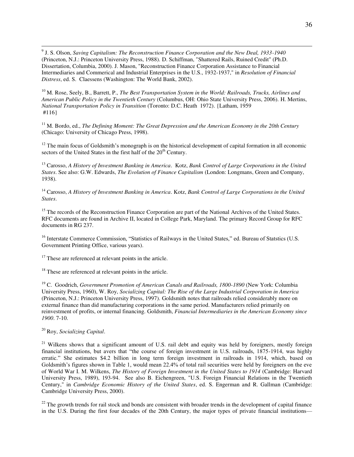9 J. S. Olson, *Saving Capitalism: The Reconstruction Finance Corporation and the New Deal, 1933-1940* (Princeton, N.J.: Princeton University Press, 1988). D. Schiffman, "Shattered Rails, Ruined Credit" (Ph.D. Dissertation, Columbia, 2000). J. Mason, "Reconstruction Finance Corporation Assistance to Financial Intermediaries and Commerical and Industrial Enterprises in the U.S., 1932-1937," in *Resolution of Financial Distress*, ed. S. Claessens (Washington: The World Bank, 2002).

<sup>10</sup> M. Rose, Seely, B., Barrett, P., *The Best Transportation System in the World: Railroads, Trucks, Airlines and American Public Policy in the Twentieth Century* (Columbus, OH: Ohio State University Press, 2006). H. Mertins, *National Transportation Policy in Transition* (Toronto: D.C. Heath 1972). {Latham, 1959 #116}

<sup>11</sup> M. Bordo, ed., *The Defining Moment: The Great Depression and the American Economy in the 20th Century* (Chicago: University of Chicago Press, 1998).

 $12$  The main focus of Goldsmith's monograph is on the historical development of capital formation in all economic sectors of the United States in the first half of the  $20<sup>th</sup>$  Century.

<sup>13</sup> Carosso, *A History of Investment Banking in America*. Kotz, *Bank Control of Large Corporations in the United States*. See also: G.W. Edwards, *The Evolution of Finance Capitalism* (London: Longmans, Green and Company, 1938).

<sup>14</sup> Carosso, *A History of Investment Banking in America*. Kotz, *Bank Control of Large Corporations in the United States*.

<sup>15</sup> The records of the Reconstruction Finance Corporation are part of the National Archives of the United States. RFC documents are found in Archive II, located in College Park, Maryland. The primary Record Group for RFC documents in RG 237.

<sup>16</sup> Interstate Commerce Commission, "Statistics of Railways in the United States," ed. Bureau of Statstics (U.S. Government Printing Office, various years).

 $17$  These are referenced at relevant points in the article.

<sup>18</sup> These are referenced at relevant points in the article.

<sup>19</sup> C. Goodrich, *Government Promotion of American Canals and Railroads, 1800-1890* (New York: Columbia University Press, 1960), W. Roy, *Socializing Capital: The Rise of the Large Industrial Corporation in America* (Princeton, N.J.: Princeton University Press, 1997). Goldsmith notes that railroads relied considerably more on external finance than did manufacturing corporations in the same period. Manufacturers relied primarily on reinvestment of profits, or internal financing. Goldsmith, *Financial Intermediaries in the American Economy since 1900*. 7-10.

## <sup>20</sup> Roy, *Socializing Capital*.

<sup>21</sup> Wilkens shows that a significant amount of U.S. rail debt and equity was held by foreigners, mostly foreign financial institutions, but avers that "the course of foreign investment in U.S. railroads, 1875-1914, was highly erratic." She estimates \$4.2 billion in long term foreign investment in railroads in 1914, which, based on Goldsmith's figures shown in Table 1, would mean 22.4% of total rail securities were held by foreigners on the eve of World War I. M. Wilkens, *The History of Foreign Investment in the United States to 1914* (Cambridge: Harvard University Press, 1989), 193-94. See also B. Eichengreen, "U.S. Foreign Financial Relations in the Twentieth Century," in *Cambridge Economic History of the United States*, ed. S. Engerman and R. Gallman (Cambridge: Cambridge University Press, 2000).

 $22$  The growth trends for rail stock and bonds are consistent with broader trends in the development of capital finance in the U.S. During the first four decades of the 20th Century, the major types of private financial institutions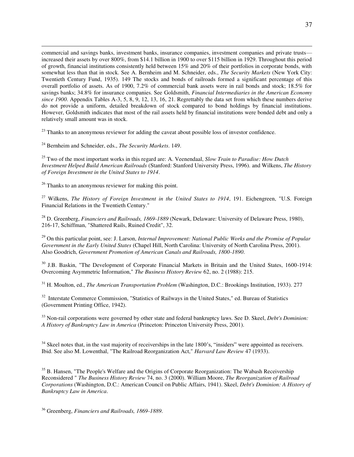commercial and savings banks, investment banks, insurance companies, investment companies and private trusts increased their assets by over 800%, from \$14.1 billion in 1900 to over \$115 billion in 1929. Throughout this period of growth, financial institutions consistently held between 15% and 20% of their portfolios in corporate bonds, with somewhat less than that in stock. See A. Bernheim and M. Schneider, eds., *The Security Markets* (New York City: Twentieth Century Fund, 1935). 149 The stocks and bonds of railroads formed a significant percentage of this overall portfolio of assets. As of 1900, 7.2% of commercial bank assets were in rail bonds and stock; 18.5% for savings banks; 34.8% for insurance companies. See Goldsmith, *Financial Intermediaries in the American Economy since 1900*. Appendix Tables A-3, 5, 8, 9, 12, 13, 16, 21. Regrettably the data set from which these numbers derive do not provide a uniform, detailed breakdown of stock compared to bond holdings by financial institutions. However, Goldsmith indicates that most of the rail assets held by financial institutions were bonded debt and only a relatively small amount was in stock.

<sup>23</sup> Thanks to an anonymous reviewer for adding the caveat about possible loss of investor confidence.

<sup>24</sup> Bernheim and Schneider, eds., *The Security Markets*. 149.

 $\overline{a}$ 

<sup>25</sup> Two of the most important works in this regard are: A. Veenendaal, *Slow Train to Paradise: How Dutch Investment Helped Build American Railroads* (Stanford: Stanford University Press, 1996). and Wilkens, *The History of Foreign Investment in the United States to 1914*.

 $26$  Thanks to an anonymous reviewer for making this point.

<sup>27</sup> Wilkens, *The History of Foreign Investment in the United States to 1914*, 191. Eichengreen, "U.S. Foreign Financial Relations in the Twentieth Century."

<sup>28</sup> D. Greenberg, *Financiers and Railroads, 1869-1889* (Newark, Delaware: University of Delaware Press, 1980), 216-17, Schiffman, "Shattered Rails, Ruined Credit", 32.

<sup>29</sup> On this particular point, see: J. Larson, *Internal Improvement: National Public Works and the Promise of Popular Government in the Early United States* (Chapel Hill, North Carolina: University of North Carolina Press, 2001). Also Goodrich, *Government Promotion of American Canals and Railroads, 1800-1890*.

<sup>30</sup> J.B. Baskin, "The Development of Corporate Financial Markets in Britain and the United States, 1600-1914: Overcoming Asymmetric Information," *The Business History Review* 62, no. 2 (1988): 215.

<sup>31</sup> H. Moulton, ed., *The American Transportation Problem* (Washington, D.C.: Brookings Institution, 1933). 277

<sup>32</sup> Interstate Commerce Commission, "Statistics of Railways in the United States," ed. Bureau of Statistics (Government Printing Office, 1942).

<sup>33</sup> Non-rail corporations were governed by other state and federal bankruptcy laws. See D. Skeel, *Debt's Dominion: A History of Bankruptcy Law in America* (Princeton: Princeton University Press, 2001).

 $34$  Skeel notes that, in the vast majority of receiverships in the late 1800's, "insiders" were appointed as receivers. Ibid. See also M. Lowenthal, "The Railroad Reorganization Act," *Harvard Law Review* 47 (1933).

<sup>35</sup> B. Hansen, "The People's Welfare and the Origins of Corporate Reorganization: The Wabash Receivership Reconsidered " *The Business History Review* 74, no. 3 (2000). William Moore, *The Reorganization of Railroad Corporations* (Washington, D.C.: American Council on Public Affairs, 1941). Skeel, *Debt's Dominion: A History of Bankruptcy Law in America*.

<sup>36</sup> Greenberg, *Financiers and Railroads, 1869-1889*.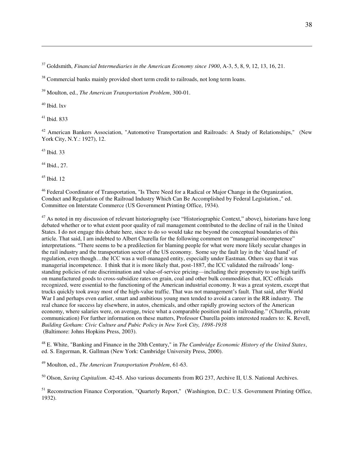<sup>37</sup> Goldsmith, *Financial Intermediaries in the American Economy since 1900*, A-3, 5, 8, 9, 12, 13, 16, 21.

<sup>38</sup> Commercial banks mainly provided short term credit to railroads, not long term loans.

<sup>39</sup> Moulton, ed., *The American Transportation Problem*, 300-01.

 $40$  Ibid. lxv

 $\overline{a}$ 

 $41$  Ibid. 833

<sup>42</sup> American Bankers Association, "Automotive Transportation and Railroads: A Study of Relationships," (New York City, N.Y.: 1927), 12.

<sup>43</sup> Ibid. 33

 $44$  Ibid., 27.

 $45$  Ibid. 12

<sup>46</sup> Federal Coordinator of Transportation, "Is There Need for a Radical or Major Change in the Organization, Conduct and Regulation of the Railroad Industry Which Can Be Accomplished by Federal Legislation.," ed. Committee on Interstate Commerce (US Government Printing Office, 1934).

<sup>47</sup> As noted in my discussion of relevant historiography (see "Historiographic Context," above), historians have long debated whether or to what extent poor quality of rail management contributed to the decline of rail in the United States. I do not engage this debate here, since to do so would take me beyond the conceptual boundaries of this article. That said, I am indebted to Albert Churella for the following comment on "managerial incompetence" interpretations. "There seems to be a predilection for blaming people for what were more likely secular changes in the rail industry and the transportation sector of the US economy. Some say the fault lay in the "dead hand" of regulation, even though…the ICC was a well-managed entity, especially under Eastman. Others say that it was managerial incompetence. I think that it is more likely that, post-1887, the ICC validated the railroads" longstanding policies of rate discrimination and value-of-service pricing—including their propensity to use high tariffs on manufactured goods to cross-subsidize rates on grain, coal and other bulk commodities that, ICC officials recognized, were essential to the functioning of the American industrial economy. It was a great system, except that trucks quickly took away most of the high-value traffic. That was not management"s fault. That said, after World War I and perhaps even earlier, smart and ambitious young men tended to avoid a career in the RR industry. The real chance for success lay elsewhere, in autos, chemicals, and other rapidly growing sectors of the American economy, where salaries were, on average, twice what a comparable position paid in railroading." (Churella, private communication) For further information on these matters, Professor Churella points interested readers to: K. Revell, *Building Gotham: Civic Culture and Pubic Policy in New York City, 1898-1938*  (Baltimore: Johns Hopkins Press, 2003).

<sup>48</sup> E. White, "Banking and Finance in the 20th Century," in *The Cambridge Economic History of the United States*, ed. S. Engerman, R. Gallman (New York: Cambridge University Press, 2000).

<sup>49</sup> Moulton, ed., *The American Transportation Problem*, 61-63.

<sup>50</sup> Olson, *Saving Capitalism*. 42-45. Also various documents from RG 237, Archive II, U.S. National Archives.

<sup>51</sup> Reconstruction Finance Corporation, "Ouarterly Report," (Washington, D.C.: U.S. Government Printing Office, 1932).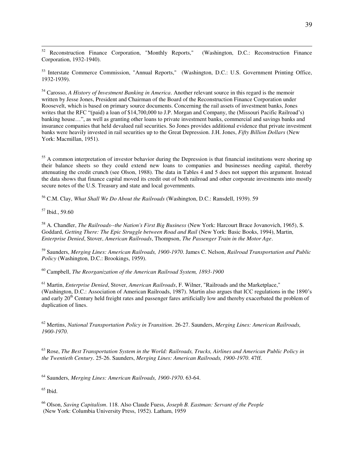52 <sup>52</sup> Reconstruction Finance Corporation, "Monthly Reports," (Washington, D.C.: Reconstruction Finance Corporation, 1932-1940).

<sup>53</sup> Interstate Commerce Commission, "Annual Reports," (Washington, D.C.: U.S. Government Printing Office, 1932-1939).

<sup>54</sup> Carosso, *A History of Investment Banking in America*. Another relevant source in this regard is the memoir written by Jesse Jones, President and Chairman of the Board of the Reconstruction Finance Corporation under Roosevelt, which is based on primary source documents. Concerning the rail assets of investment banks, Jones writes that the RFC "(paid) a loan of \$14,700,000 to J.P. Morgan and Company, the (Missouri Pacific Railroad's) banking house…", as well as granting other loans to private investment banks, commercial and savings banks and insurance companies that held devalued rail securities. So Jones provides additional evidence that private investment banks were heavily invested in rail securities up to the Great Depression. J.H. Jones, *Fifty Billion Dollars* (New York: Macmillan, 1951).

<sup>55</sup> A common interpretation of investor behavior during the Depression is that financial institutions were shoring up their balance sheets so they could extend new loans to companies and businesses needing capital, thereby attenuating the credit crunch (see Olson, 1988). The data in Tables 4 and 5 does not support this argument. Instead the data shows that finance capital moved its credit out of both railroad and other corporate investments into mostly secure notes of the U.S. Treasury and state and local governments.

<sup>56</sup> C.M. Clay, *What Shall We Do About the Railroads* (Washington, D.C.: Ransdell, 1939). 59

<sup>57</sup> Ibid., 59.60

<sup>58</sup> A. Chandler, *The Railroads--the Nation's First Big Business* (New York: Harcourt Brace Jovanovich, 1965), S. Goddard, *Getting There: The Epic Struggle between Road and Rail* (New York: Basic Books, 1994), Martin, *Enterprise Denied*, Stover, *American Railroads*, Thompson, *The Passenger Train in the Motor Age*.

<sup>59</sup> Saunders, *Merging Lines: American Railroads, 1900-1970*. James C. Nelson, *Railroad Transportation and Public Policy* (Washington, D.C.: Brookings, 1959).

<sup>60</sup> Campbell, *The Reorganization of the American Railroad System, 1893-1900* 

<sup>61</sup> Martin, *Enterprise Denied*, Stover, *American Railroads*, F. Wilner, "Railroads and the Marketplace," (Washington, D.C.: Association of American Railroads, 1987). Martin also argues that ICC regulations in the 1890"s and early 20<sup>th</sup> Century held freight rates and passenger fares artificially low and thereby exacerbated the problem of duplication of lines.

<sup>62</sup> Mertins, *National Transportation Policy in Transition*. 26-27. Saunders, *Merging Lines: American Railroads, 1900-1970*.

<sup>63</sup> Rose, *The Best Transportation System in the World: Railroads, Trucks, Airlines and American Public Policy in the Twentieth Century*. 25-26. Saunders, *Merging Lines: American Railroads, 1900-1970*. 47ff.

<sup>64</sup> Saunders, *Merging Lines: American Railroads, 1900-1970*. 63-64.

 $65$  Ibid.

<sup>66</sup> Olson, *Saving Capitalism*. 118. Also Claude Fuess, *Joseph B. Eastman: Servant of the People*  (New York: Columbia University Press, 1952). Latham, 1959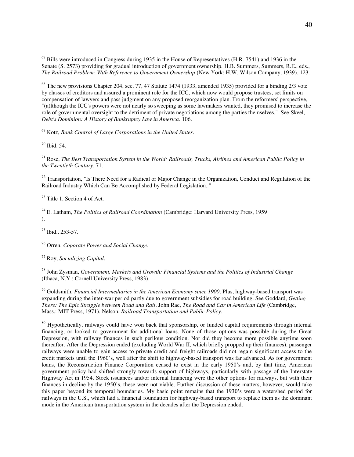$^{67}$  Bills were introduced in Congress during 1935 in the House of Representatives (H.R. 7541) and 1936 in the Senate (S. 2573) providing for gradual introduction of government ownership. H.B. Summers, Summers, R.E., eds., *The Railroad Problem: With Reference to Government Ownership* (New York: H.W. Wilson Company, 1939). 123.

 $68$  The new provisions Chapter 204, sec. 77, 47 Statute 1474 (1933, amended 1935) provided for a binding 2/3 vote by classes of creditors and assured a prominent role for the ICC, which now would propose trustees, set limits on compensation of lawyers and pass judgment on any proposed reorganization plan. From the reformers' perspective, "(a)lthough the ICC's powers were not nearly so sweeping as some lawmakers wanted, they promised to increase the role of governmental oversight to the detriment of private negotiations among the parties themselves." See Skeel, *Debt's Dominion: A History of Bankruptcy Law in America*. 106.

<sup>69</sup> Kotz, *Bank Control of Large Corporations in the United States*.

 $70$  Ibid. 54.

 $\overline{a}$ 

<sup>71</sup> Rose, *The Best Transportation System in the World: Railroads, Trucks, Airlines and American Public Policy in the Twentieth Century*. 71.

 $72$  Transportation, "Is There Need for a Radical or Major Change in the Organization, Conduct and Regulation of the Railroad Industry Which Can Be Accomplished by Federal Legislation.."

 $73$  Title 1, Section 4 of Act.

<sup>74</sup> E. Latham, *The Politics of Railroad Coordination* (Cambridge: Harvard University Press, 1959 ).

<sup>75</sup> Ibid., 253-57.

<sup>76</sup> Orren, *Coporate Power and Social Change*.

<sup>77</sup> Roy, *Socializing Capital*.

<sup>78</sup> John Zysman, *Government, Markets and Growth: Financial Systems and the Politics of Industrial Change* (Ithaca, N.Y.: Cornell University Press, 1983).

<sup>79</sup> Goldsmith, *Financial Intermediaries in the American Economy since 1900*. Plus, highway-based transport was expanding during the inter-war period partly due to government subsidies for road building. See Goddard, *Getting There: The Epic Struggle between Road and Rail*. John Rae, *The Road and Car in American Life* (Cambridge, Mass.: MIT Press, 1971). Nelson, *Railroad Transportation and Public Policy*.

<sup>80</sup> Hypothetically, railways could have won back that sponsorship, or funded capital requirements through internal financing, or looked to government for additional loans. None of those options was possible during the Great Depression, with railway finances in such perilous condition. Nor did they become more possible anytime soon thereafter. After the Depression ended (excluding World War II, which briefly propped up their finances), passenger railways were unable to gain access to private credit and freight railroads did not regain significant access to the credit markets until the 1960"s, well after the shift to highway-based transport was far advanced. As for government loans, the Reconstruction Finance Corporation ceased to exist in the early 1950's and, by that time, American government policy had shifted strongly towards support of highways, particularly with passage of the Interstate Highway Act in 1954. Stock issuances and/or internal financing were the other options for railways, but with their finances in decline by the 1950"s, these were not viable. Further discussion of these matters, however, would take this paper beyond its temporal boundaries. My basic point remains that the 1930"s were a watershed period for railways in the U.S., which laid a financial foundation for highway-based transport to replace them as the dominant mode in the American transportation system in the decades after the Depression ended.